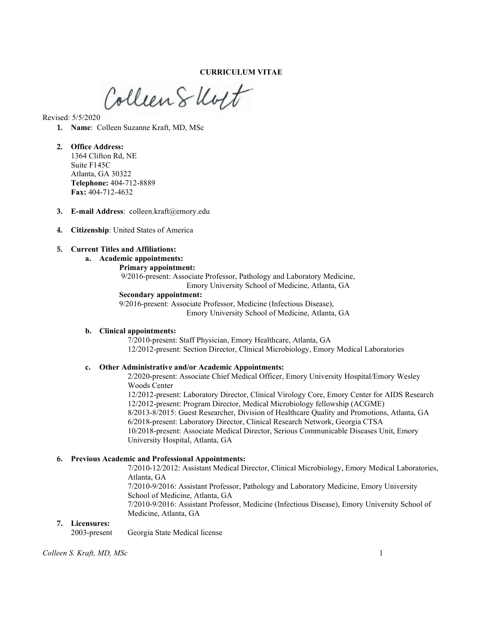CURRICULUM VITAE

Collien Skott

Revised: 5/5/2020

- 1. Name: Colleen Suzanne Kraft, MD, MSc
- 2. Office Address: 1364 Clifton Rd, NE Suite F145C Atlanta, GA 30322 Telephone: 404-712-8889 Fax: 404-712-4632
- 3. E-mail Address: colleen.kraft@emory.edu
- 4. Citizenship: United States of America
- 5. Current Titles and Affiliations:
	- a. Academic appointments:
		- Primary appointment:

 9/2016-present: Associate Professor, Pathology and Laboratory Medicine, Emory University School of Medicine, Atlanta, GA

Secondary appointment:

9/2016-present: Associate Professor, Medicine (Infectious Disease), Emory University School of Medicine, Atlanta, GA

#### b. Clinical appointments:

7/2010-present: Staff Physician, Emory Healthcare, Atlanta, GA 12/2012-present: Section Director, Clinical Microbiology, Emory Medical Laboratories

#### c. Other Administrative and/or Academic Appointments:

2/2020-present: Associate Chief Medical Officer, Emory University Hospital/Emory Wesley Woods Center 12/2012-present: Laboratory Director, Clinical Virology Core, Emory Center for AIDS Research 12/2012-present: Program Director, Medical Microbiology fellowship (ACGME)

8/2013-8/2015: Guest Researcher, Division of Healthcare Quality and Promotions, Atlanta, GA 6/2018-present: Laboratory Director, Clinical Research Network, Georgia CTSA 10/2018-present: Associate Medical Director, Serious Communicable Diseases Unit, Emory University Hospital, Atlanta, GA

#### 6. Previous Academic and Professional Appointments:

7/2010-12/2012: Assistant Medical Director, Clinical Microbiology, Emory Medical Laboratories, Atlanta, GA 7/2010-9/2016: Assistant Professor, Pathology and Laboratory Medicine, Emory University School of Medicine, Atlanta, GA 7/2010-9/2016: Assistant Professor, Medicine (Infectious Disease), Emory University School of Medicine, Atlanta, GA

#### 7. Licensures:

2003-present Georgia State Medical license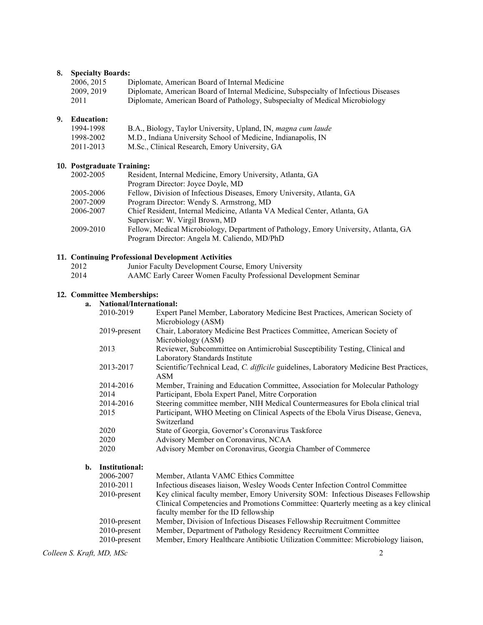# 8. Specialty Boards:

| 2006.2015  | Diplomate, American Board of Internal Medicine                                      |
|------------|-------------------------------------------------------------------------------------|
| 2009, 2019 | Diplomate, American Board of Internal Medicine, Subspecialty of Infectious Diseases |
| 2011       | Diplomate, American Board of Pathology, Subspecialty of Medical Microbiology        |

# 9. Education:

| 1994-1998 | B.A., Biology, Taylor University, Upland, IN, magna cum laude |
|-----------|---------------------------------------------------------------|
| 1998-2002 | M.D., Indiana University School of Medicine, Indianapolis, IN |
| 2011-2013 | M.Sc., Clinical Research, Emory University, GA                |

# 10. Postgraduate Training:

| 2002-2005 | Resident, Internal Medicine, Emory University, Atlanta, GA                           |
|-----------|--------------------------------------------------------------------------------------|
|           | Program Director: Joyce Doyle, MD                                                    |
| 2005-2006 | Fellow, Division of Infectious Diseases, Emory University, Atlanta, GA               |
| 2007-2009 | Program Director: Wendy S. Armstrong, MD                                             |
| 2006-2007 | Chief Resident, Internal Medicine, Atlanta VA Medical Center, Atlanta, GA            |
|           | Supervisor: W. Virgil Brown, MD                                                      |
| 2009-2010 | Fellow, Medical Microbiology, Department of Pathology, Emory University, Atlanta, GA |
|           | Program Director: Angela M. Caliendo, MD/PhD                                         |
|           |                                                                                      |

|      | 11. Continuing Professional Development Activities               |
|------|------------------------------------------------------------------|
| 2012 | Junior Faculty Development Course, Emory University              |
| 2014 | AAMC Early Career Women Faculty Professional Development Seminar |

# 12. Committee Memberships:

# a. National/International:

| 2010-2019       | Expert Panel Member, Laboratory Medicine Best Practices, American Society of            |
|-----------------|-----------------------------------------------------------------------------------------|
|                 | Microbiology (ASM)                                                                      |
| $2019$ -present | Chair, Laboratory Medicine Best Practices Committee, American Society of                |
|                 | Microbiology (ASM)                                                                      |
| 2013            | Reviewer, Subcommittee on Antimicrobial Susceptibility Testing, Clinical and            |
|                 | Laboratory Standards Institute                                                          |
| 2013-2017       | Scientific/Technical Lead, C. difficile guidelines, Laboratory Medicine Best Practices, |
|                 | ASM                                                                                     |
| 2014-2016       | Member, Training and Education Committee, Association for Molecular Pathology           |
| 2014            | Participant, Ebola Expert Panel, Mitre Corporation                                      |
| 2014-2016       | Steering committee member, NIH Medical Countermeasures for Ebola clinical trial         |
| 2015            | Participant, WHO Meeting on Clinical Aspects of the Ebola Virus Disease, Geneva,        |
|                 | Switzerland                                                                             |
| 2020            | State of Georgia, Governor's Coronavirus Taskforce                                      |
| 2020            | Advisory Member on Coronavirus, NCAA                                                    |
| 2020            | Advisory Member on Coronavirus, Georgia Chamber of Commerce                             |
| Institutional:  |                                                                                         |

| 2006-2007       | Member, Atlanta VAMC Ethics Committee                                               |
|-----------------|-------------------------------------------------------------------------------------|
| 2010-2011       | Infectious diseases liaison, Wesley Woods Center Infection Control Committee        |
| $2010$ -present | Key clinical faculty member, Emory University SOM: Infectious Diseases Fellowship   |
|                 | Clinical Competencies and Promotions Committee: Quarterly meeting as a key clinical |
|                 | faculty member for the ID fellowship                                                |
| $2010$ -present | Member, Division of Infectious Diseases Fellowship Recruitment Committee            |
| $2010$ -present | Member, Department of Pathology Residency Recruitment Committee                     |
| $2010$ -present | Member, Emory Healthcare Antibiotic Utilization Committee: Microbiology liaison,    |

Colleen S. Kraft, MD, MSc 2

 $$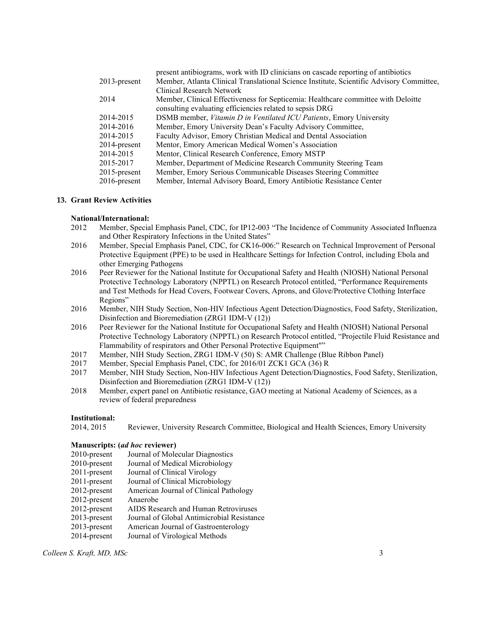|                 | present antibiograms, work with ID clinicians on cascade reporting of antibiotics        |
|-----------------|------------------------------------------------------------------------------------------|
| $2013$ -present | Member, Atlanta Clinical Translational Science Institute, Scientific Advisory Committee, |
|                 | Clinical Research Network                                                                |
| 2014            | Member, Clinical Effectiveness for Septicemia: Healthcare committee with Deloitte        |
|                 | consulting evaluating efficiencies related to sepsis DRG                                 |
| 2014-2015       | DSMB member, Vitamin D in Ventilated ICU Patients, Emory University                      |
| 2014-2016       | Member, Emory University Dean's Faculty Advisory Committee,                              |
| 2014-2015       | Faculty Advisor, Emory Christian Medical and Dental Association                          |
| $2014$ -present | Mentor, Emory American Medical Women's Association                                       |
| 2014-2015       | Mentor, Clinical Research Conference, Emory MSTP                                         |
| 2015-2017       | Member, Department of Medicine Research Community Steering Team                          |
| $2015$ -present | Member, Emory Serious Communicable Diseases Steering Committee                           |
| $2016$ -present | Member, Internal Advisory Board, Emory Antibiotic Resistance Center                      |

### 13. Grant Review Activities

#### National/International:

- 2012 Member, Special Emphasis Panel, CDC, for IP12-003 "The Incidence of Community Associated Influenza and Other Respiratory Infections in the United States"
- 2016 Member, Special Emphasis Panel, CDC, for CK16-006:" Research on Technical Improvement of Personal Protective Equipment (PPE) to be used in Healthcare Settings for Infection Control, including Ebola and other Emerging Pathogens
- 2016 Peer Reviewer for the National Institute for Occupational Safety and Health (NIOSH) National Personal Protective Technology Laboratory (NPPTL) on Research Protocol entitled, "Performance Requirements and Test Methods for Head Covers, Footwear Covers, Aprons, and Glove/Protective Clothing Interface Regions"
- 2016 Member, NIH Study Section, Non-HIV Infectious Agent Detection/Diagnostics, Food Safety, Sterilization, Disinfection and Bioremediation (ZRG1 IDM-V (12))
- 2016 Peer Reviewer for the National Institute for Occupational Safety and Health (NIOSH) National Personal Protective Technology Laboratory (NPPTL) on Research Protocol entitled, "Projectile Fluid Resistance and Flammability of respirators and Other Personal Protective Equipment""
- 2017 Member, NIH Study Section, ZRG1 IDM-V (50) S: AMR Challenge (Blue Ribbon Panel)
- 2017 Member, Special Emphasis Panel, CDC, for 2016/01 ZCK1 GCA (36) R
- 2017 Member, NIH Study Section, Non-HIV Infectious Agent Detection/Diagnostics, Food Safety, Sterilization, Disinfection and Bioremediation (ZRG1 IDM-V (12))
- 2018 Member, expert panel on Antibiotic resistance, GAO meeting at National Academy of Sciences, as a review of federal preparedness

#### Institutional:

2014, 2015 Reviewer, University Research Committee, Biological and Health Sciences, Emory University

#### Manuscripts: (ad hoc reviewer)

- 2010-present Journal of Molecular Diagnostics
- 2010-present Journal of Medical Microbiology
- 2011-present Journal of Clinical Virology
- 2011-present Journal of Clinical Microbiology
- 2012-present American Journal of Clinical Pathology
- 2012-present Anaerobe
- 2012-present AIDS Research and Human Retroviruses
- 2013-present Journal of Global Antimicrobial Resistance
- 2013-present American Journal of Gastroenterology
- 2014-present Journal of Virological Methods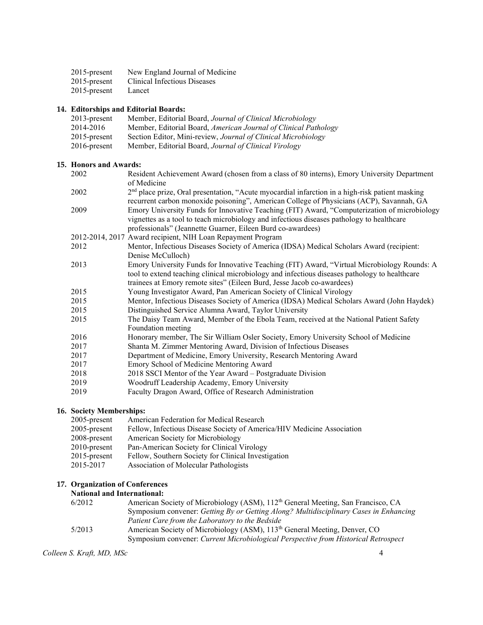| $2015$ -present | New England Journal of Medicine |
|-----------------|---------------------------------|
| $2015$ -present | Clinical Infectious Diseases    |
| $2015$ -present | Lancet                          |

# 14. Editorships and Editorial Boards:

| $2013$ -present | Member, Editorial Board, Journal of Clinical Microbiology       |
|-----------------|-----------------------------------------------------------------|
| 2014-2016       | Member, Editorial Board, American Journal of Clinical Pathology |
| $2015$ -present | Section Editor, Mini-review, Journal of Clinical Microbiology   |
| $2016$ -present | Member, Editorial Board, Journal of Clinical Virology           |

# 15. Honors and Awards:

| 2002 | Resident Achievement Award (chosen from a class of 80 interns), Emory University Department       |
|------|---------------------------------------------------------------------------------------------------|
|      | of Medicine                                                                                       |
| 2002 | $2nd$ place prize, Oral presentation, "Acute myocardial infarction in a high-risk patient masking |
|      | recurrent carbon monoxide poisoning", American College of Physicians (ACP), Savannah, GA          |
| 2009 | Emory University Funds for Innovative Teaching (FIT) Award, "Computerization of microbiology      |
|      | vignettes as a tool to teach microbiology and infectious diseases pathology to healthcare         |
|      | professionals" (Jeannette Guarner, Eileen Burd co-awardees)                                       |
|      | 2012-2014, 2017 Award recipient, NIH Loan Repayment Program                                       |
| 2012 | Mentor, Infectious Diseases Society of America (IDSA) Medical Scholars Award (recipient:          |
|      | Denise McCulloch)                                                                                 |
| 2013 | Emory University Funds for Innovative Teaching (FIT) Award, "Virtual Microbiology Rounds: A       |
|      | tool to extend teaching clinical microbiology and infectious diseases pathology to healthcare     |
|      | trainees at Emory remote sites" (Eileen Burd, Jesse Jacob co-awardees)                            |
| 2015 | Young Investigator Award, Pan American Society of Clinical Virology                               |
| 2015 | Mentor, Infectious Diseases Society of America (IDSA) Medical Scholars Award (John Haydek)        |
| 2015 | Distinguished Service Alumna Award, Taylor University                                             |
| 2015 | The Daisy Team Award Member of the Ebola Team, received at the National Patient Safety            |

- 2015 The Daisy Team Award, Member of the Ebola Team, received at the National Patient Safety Foundation meeting
- 2016 Honorary member, The Sir William Osler Society, Emory University School of Medicine
- 2017 Shanta M. Zimmer Mentoring Award, Division of Infectious Diseases
- 2017 Department of Medicine, Emory University, Research Mentoring Award
- 2017 Emory School of Medicine Mentoring Award
- 2018 2018 SSCI Mentor of the Year Award Postgraduate Division
- 2019 Woodruff Leadership Academy, Emory University
- 2019 Faculty Dragon Award, Office of Research Administration

# 16. Society Memberships:

| $2005$ -present | American Federation for Medical Research                               |
|-----------------|------------------------------------------------------------------------|
| $2005$ -present | Fellow, Infectious Disease Society of America/HIV Medicine Association |
| 2008-present    | American Society for Microbiology                                      |
| $2010$ -present | Pan-American Society for Clinical Virology                             |
| $2015$ -present | Fellow, Southern Society for Clinical Investigation                    |
| 2015-2017       | Association of Molecular Pathologists                                  |
|                 |                                                                        |

# 17. Organization of Conferences

# National and International:

| 6/2012 | American Society of Microbiology (ASM), 112 <sup>th</sup> General Meeting, San Francisco, CA |
|--------|----------------------------------------------------------------------------------------------|
|        | Symposium convener: Getting By or Getting Along? Multidisciplinary Cases in Enhancing        |
|        | Patient Care from the Laboratory to the Bedside                                              |
| 5/2013 | American Society of Microbiology (ASM), 113 <sup>th</sup> General Meeting, Denver, CO        |
|        | Symposium convener: Current Microbiological Perspective from Historical Retrospect           |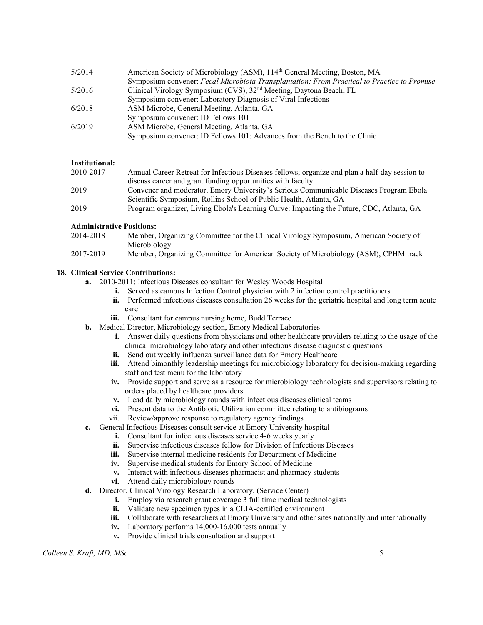| 5/2014 | American Society of Microbiology (ASM), 114 <sup>th</sup> General Meeting, Boston, MA       |
|--------|---------------------------------------------------------------------------------------------|
|        | Symposium convener: Fecal Microbiota Transplantation: From Practical to Practice to Promise |
| 5/2016 | Clinical Virology Symposium (CVS), 32 <sup>nd</sup> Meeting, Daytona Beach, FL              |
|        | Symposium convener: Laboratory Diagnosis of Viral Infections                                |
| 6/2018 | ASM Microbe, General Meeting, Atlanta, GA                                                   |
|        | Symposium convener: ID Fellows 101                                                          |
| 6/2019 | ASM Microbe, General Meeting, Atlanta, GA                                                   |
|        | Symposium convener: ID Fellows 101: Advances from the Bench to the Clinic                   |
|        |                                                                                             |

# Institutional:

| 2010-2017 | Annual Career Retreat for Infectious Diseases fellows; organize and plan a half-day session to |
|-----------|------------------------------------------------------------------------------------------------|
|           | discuss career and grant funding opportunities with faculty                                    |
| 2019      | Convener and moderator, Emory University's Serious Communicable Diseases Program Ebola         |
|           | Scientific Symposium, Rollins School of Public Health, Atlanta, GA                             |
| 2019      | Program organizer, Living Ebola's Learning Curve: Impacting the Future, CDC, Atlanta, GA       |

# Administrative Positions:

| 2014-2018 | Member, Organizing Committee for the Clinical Virology Symposium, American Society of |
|-----------|---------------------------------------------------------------------------------------|
|           | Microbiology                                                                          |
| 2017-2019 | Member, Organizing Committee for American Society of Microbiology (ASM), CPHM track   |

# 18. Clinical Service Contributions:

- a. 2010-2011: Infectious Diseases consultant for Wesley Woods Hospital
	- i. Served as campus Infection Control physician with 2 infection control practitioners
	- ii. Performed infectious diseases consultation 26 weeks for the geriatric hospital and long term acute care
	- iii. Consultant for campus nursing home, Budd Terrace
- b. Medical Director, Microbiology section, Emory Medical Laboratories
	- i. Answer daily questions from physicians and other healthcare providers relating to the usage of the clinical microbiology laboratory and other infectious disease diagnostic questions
	- ii. Send out weekly influenza surveillance data for Emory Healthcare
	- iii. Attend bimonthly leadership meetings for microbiology laboratory for decision-making regarding staff and test menu for the laboratory
	- iv. Provide support and serve as a resource for microbiology technologists and supervisors relating to orders placed by healthcare providers
	- v. Lead daily microbiology rounds with infectious diseases clinical teams
	- vi. Present data to the Antibiotic Utilization committee relating to antibiograms
	- vii. Review/approve response to regulatory agency findings
- c. General Infectious Diseases consult service at Emory University hospital
	- i. Consultant for infectious diseases service 4-6 weeks yearly
		- ii. Supervise infectious diseases fellow for Division of Infectious Diseases
		- iii. Supervise internal medicine residents for Department of Medicine
		- iv. Supervise medical students for Emory School of Medicine
		- v. Interact with infectious diseases pharmacist and pharmacy students
	- vi. Attend daily microbiology rounds
- d. Director, Clinical Virology Research Laboratory, (Service Center)
	- i. Employ via research grant coverage 3 full time medical technologists
	- ii. Validate new specimen types in a CLIA-certified environment
	- iii. Collaborate with researchers at Emory University and other sites nationally and internationally
	- iv. Laboratory performs 14,000-16,000 tests annually
	- v. Provide clinical trials consultation and support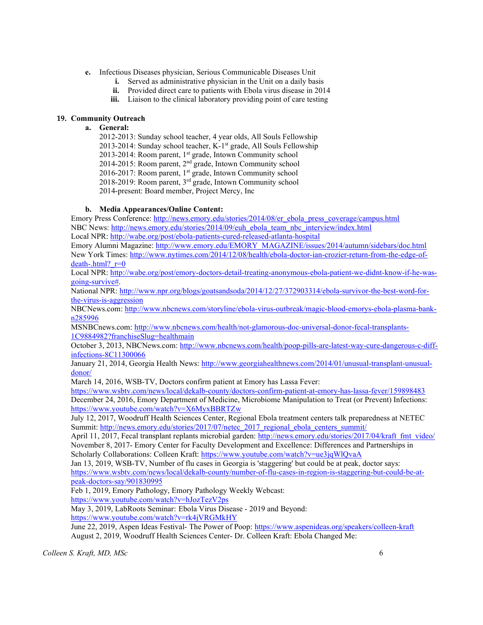- e. Infectious Diseases physician, Serious Communicable Diseases Unit
	- i. Served as administrative physician in the Unit on a daily basis
	- ii. Provided direct care to patients with Ebola virus disease in 2014
	- iii. Liaison to the clinical laboratory providing point of care testing

# 19. Community Outreach

### a. General:

2012-2013: Sunday school teacher, 4 year olds, All Souls Fellowship 2013-2014: Sunday school teacher, K-1<sup>st</sup> grade, All Souls Fellowship 2013-2014: Room parent, 1<sup>st</sup> grade, Intown Community school 2014-2015: Room parent, 2nd grade, Intown Community school 2016-2017: Room parent, 1st grade, Intown Community school 2018-2019: Room parent, 3rd grade, Intown Community school 2014-present: Board member, Project Mercy, Inc

# b. Media Appearances/Online Content:

Emory Press Conference: http://news.emory.edu/stories/2014/08/er\_ebola\_press\_coverage/campus.html NBC News: http://news.emory.edu/stories/2014/09/euh\_ebola\_team\_nbc\_interview/index.html Local NPR: http://wabe.org/post/ebola-patients-cured-released-atlanta-hospital

Emory Alumni Magazine: http://www.emory.edu/EMORY\_MAGAZINE/issues/2014/autumn/sidebars/doc.html New York Times: http://www.nytimes.com/2014/12/08/health/ebola-doctor-ian-crozier-return-from-the-edge-ofdeath-.html? $r=0$ 

Local NPR: http://wabe.org/post/emory-doctors-detail-treating-anonymous-ebola-patient-we-didnt-know-if-he-wasgoing-survive#.

National NPR: http://www.npr.org/blogs/goatsandsoda/2014/12/27/372903314/ebola-survivor-the-best-word-forthe-virus-is-aggression

NBCNews.com: http://www.nbcnews.com/storyline/ebola-virus-outbreak/magic-blood-emorys-ebola-plasma-bankn285996

MSNBCnews.com: http://www.nbcnews.com/health/not-glamorous-doc-universal-donor-fecal-transplants-1C9884982?franchiseSlug=healthmain

October 3, 2013, NBCNews.com: http://www.nbcnews.com/health/poop-pills-are-latest-way-cure-dangerous-c-diffinfections-8C11300066

January 21, 2014, Georgia Health News: http://www.georgiahealthnews.com/2014/01/unusual-transplant-unusualdonor/

March 14, 2016, WSB-TV, Doctors confirm patient at Emory has Lassa Fever:

https://www.wsbtv.com/news/local/dekalb-county/doctors-confirm-patient-at-emory-has-lassa-fever/159898483 December 24, 2016, Emory Department of Medicine, Microbiome Manipulation to Treat (or Prevent) Infections: https://www.youtube.com/watch?v=X6MyxBBRTZw

July 12, 2017, Woodruff Health Sciences Center, Regional Ebola treatment centers talk preparedness at NETEC Summit: http://news.emory.edu/stories/2017/07/netec\_2017\_regional\_ebola\_centers\_summit/

April 11, 2017, Fecal transplant replants microbial garden: http://news.emory.edu/stories/2017/04/kraft\_fmt\_video/ November 8, 2017- Emory Center for Faculty Development and Excellence: Differences and Partnerships in Scholarly Collaborations: Colleen Kraft: https://www.youtube.com/watch?v=ue3jqWlQvaA

Jan 13, 2019, WSB-TV, Number of flu cases in Georgia is 'staggering' but could be at peak, doctor says: https://www.wsbtv.com/news/local/dekalb-county/number-of-flu-cases-in-region-is-staggering-but-could-be-atpeak-doctors-say/901830995

Feb 1, 2019, Emory Pathology, Emory Pathology Weekly Webcast:

https://www.youtube.com/watch?v=hJozTezV2ps

May 3, 2019, LabRoots Seminar: Ebola Virus Disease - 2019 and Beyond: https://www.youtube.com/watch?v=rk4jVRGMkHY

June 22, 2019, Aspen Ideas Festival- The Power of Poop: https://www.aspenideas.org/speakers/colleen-kraft August 2, 2019, Woodruff Health Sciences Center- Dr. Colleen Kraft: Ebola Changed Me: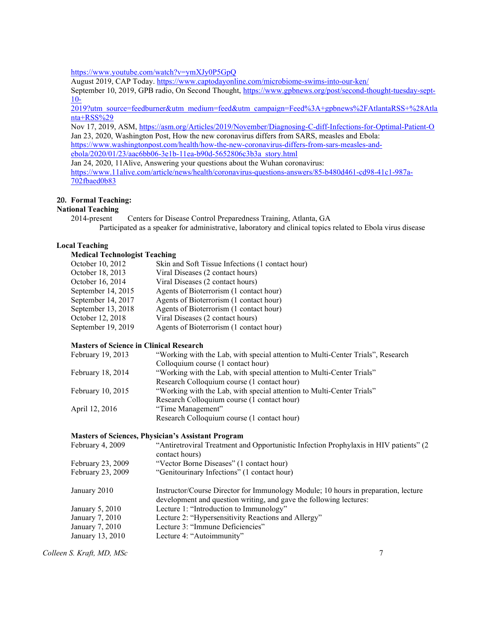https://www.youtube.com/watch?v=ymXJy0P5GpQ

August 2019, CAP Today. https://www.captodayonline.com/microbiome-swims-into-our-ken/

September 10, 2019, GPB radio, On Second Thought, https://www.gpbnews.org/post/second-thought-tuesday-sept-10-

2019?utm\_source=feedburner&utm\_medium=feed&utm\_campaign=Feed%3A+gpbnews%2FAtlantaRSS+%28Atla nta+RSS%29

Nov 17, 2019, ASM, https://asm.org/Articles/2019/November/Diagnosing-C-diff-Infections-for-Optimal-Patient-O Jan 23, 2020, Washington Post, How the new coronavirus differs from SARS, measles and Ebola:

https://www.washingtonpost.com/health/how-the-new-coronavirus-differs-from-sars-measles-andebola/2020/01/23/aac6bb06-3e1b-11ea-b90d-5652806c3b3a\_story.html

Jan 24, 2020, 11Alive, Answering your questions about the Wuhan coronavirus: https://www.11alive.com/article/news/health/coronavirus-questions-answers/85-b480d461-cd98-41c1-987a-702fbaed0b83

# 20. Formal Teaching:

# National Teaching

2014-present Centers for Disease Control Preparedness Training, Atlanta, GA Participated as a speaker for administrative, laboratory and clinical topics related to Ebola virus disease

# Local Teaching

#### Medical Technologist Teaching

| Skin and Soft Tissue Infections (1 contact hour) |
|--------------------------------------------------|
|                                                  |
|                                                  |
|                                                  |
|                                                  |
|                                                  |
|                                                  |
|                                                  |
|                                                  |

#### Masters of Science in Clinical Research

| February 19, 2013 | "Working with the Lab, with special attention to Multi-Center Trials", Research |
|-------------------|---------------------------------------------------------------------------------|
|                   | Colloquium course (1 contact hour)                                              |
| February 18, 2014 | "Working with the Lab, with special attention to Multi-Center Trials"           |
|                   | Research Colloquium course (1 contact hour)                                     |
| February 10, 2015 | "Working with the Lab, with special attention to Multi-Center Trials"           |
|                   | Research Colloquium course (1 contact hour)                                     |
| April 12, 2016    | "Time Management"                                                               |
|                   | Research Colloquium course (1 contact hour)                                     |

#### Masters of Sciences, Physician's Assistant Program

| February 4, 2009  | "Antiretroviral Treatment and Opportunistic Infection Prophylaxis in HIV patients" (2)<br>contact hours)                                                 |
|-------------------|----------------------------------------------------------------------------------------------------------------------------------------------------------|
| February 23, 2009 | "Vector Borne Diseases" (1 contact hour)                                                                                                                 |
| February 23, 2009 | "Genitourinary Infections" (1 contact hour)                                                                                                              |
| January 2010      | Instructor/Course Director for Immunology Module; 10 hours in preparation, lecture<br>development and question writing, and gave the following lectures: |
| January 5, 2010   | Lecture 1: "Introduction to Immunology"                                                                                                                  |
| January 7, 2010   | Lecture 2: "Hypersensitivity Reactions and Allergy"                                                                                                      |
| January 7, 2010   | Lecture 3: "Immune Deficiencies"                                                                                                                         |
| January 13, 2010  | Lecture 4: "Autoimmunity"                                                                                                                                |
|                   |                                                                                                                                                          |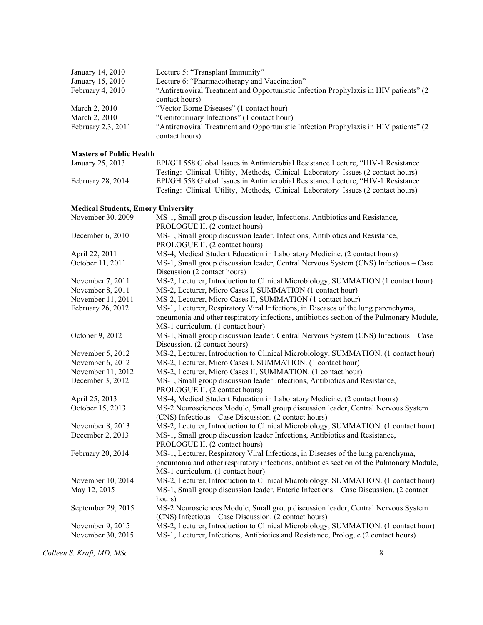| January 14, 2010   | Lecture 5: "Transplant Immunity"                                                                         |
|--------------------|----------------------------------------------------------------------------------------------------------|
| January 15, 2010   | Lecture 6: "Pharmacotherapy and Vaccination"                                                             |
| February 4, 2010   | "Antiretroviral Treatment and Opportunistic Infection Prophylaxis in HIV patients" (2)                   |
|                    | contact hours)                                                                                           |
| March 2, 2010      | "Vector Borne Diseases" (1 contact hour)                                                                 |
| March 2, 2010      | "Genitourinary Infections" (1 contact hour)                                                              |
| February 2,3, 2011 | "Antiretroviral Treatment and Opportunistic Infection Prophylaxis in HIV patients" (2)<br>contact hours) |

# Masters of Public Health

| January 25, 2013  | EPI/GH 558 Global Issues in Antimicrobial Resistance Lecture. "HIV-1 Resistance  |
|-------------------|----------------------------------------------------------------------------------|
|                   | Testing: Clinical Utility, Methods, Clinical Laboratory Issues (2 contact hours) |
| February 28, 2014 | EPI/GH 558 Global Issues in Antimicrobial Resistance Lecture. "HIV-1 Resistance" |
|                   | Testing: Clinical Utility, Methods, Clinical Laboratory Issues (2 contact hours) |
|                   |                                                                                  |

# Medical Students, Emory University

| Medical Students, Emory University |                                                                                          |
|------------------------------------|------------------------------------------------------------------------------------------|
| November 30, 2009                  | MS-1, Small group discussion leader, Infections, Antibiotics and Resistance,             |
|                                    | PROLOGUE II. (2 contact hours)                                                           |
| December 6, 2010                   | MS-1, Small group discussion leader, Infections, Antibiotics and Resistance,             |
|                                    | PROLOGUE II. (2 contact hours)                                                           |
| April 22, 2011                     | MS-4, Medical Student Education in Laboratory Medicine. (2 contact hours)                |
| October 11, 2011                   | MS-1, Small group discussion leader, Central Nervous System (CNS) Infectious – Case      |
|                                    | Discussion (2 contact hours)                                                             |
| November 7, 2011                   | MS-2, Lecturer, Introduction to Clinical Microbiology, SUMMATION (1 contact hour)        |
| November 8, 2011                   | MS-2, Lecturer, Micro Cases I, SUMMATION (1 contact hour)                                |
| November 11, 2011                  | MS-2, Lecturer, Micro Cases II, SUMMATION (1 contact hour)                               |
| February 26, 2012                  | MS-1, Lecturer, Respiratory Viral Infections, in Diseases of the lung parenchyma,        |
|                                    | pneumonia and other respiratory infections, antibiotics section of the Pulmonary Module, |
|                                    | MS-1 curriculum. (1 contact hour)                                                        |
| October 9, 2012                    | MS-1, Small group discussion leader, Central Nervous System (CNS) Infectious – Case      |
|                                    | Discussion. (2 contact hours)                                                            |
| November 5, 2012                   | MS-2, Lecturer, Introduction to Clinical Microbiology, SUMMATION. (1 contact hour)       |
| November 6, 2012                   | MS-2, Lecturer, Micro Cases I, SUMMATION. (1 contact hour)                               |
| November 11, 2012                  | MS-2, Lecturer, Micro Cases II, SUMMATION. (1 contact hour)                              |
| December 3, 2012                   | MS-1, Small group discussion leader Infections, Antibiotics and Resistance,              |
|                                    | PROLOGUE II. (2 contact hours)                                                           |
| April 25, 2013                     | MS-4, Medical Student Education in Laboratory Medicine. (2 contact hours)                |
| October 15, 2013                   | MS-2 Neurosciences Module, Small group discussion leader, Central Nervous System         |
|                                    | (CNS) Infectious - Case Discussion. (2 contact hours)                                    |
| November 8, 2013                   | MS-2, Lecturer, Introduction to Clinical Microbiology, SUMMATION. (1 contact hour)       |
| December 2, 2013                   | MS-1, Small group discussion leader Infections, Antibiotics and Resistance,              |
|                                    | PROLOGUE II. (2 contact hours)                                                           |
| February 20, 2014                  | MS-1, Lecturer, Respiratory Viral Infections, in Diseases of the lung parenchyma,        |
|                                    | pneumonia and other respiratory infections, antibiotics section of the Pulmonary Module, |
|                                    | MS-1 curriculum. (1 contact hour)                                                        |
| November 10, 2014                  | MS-2, Lecturer, Introduction to Clinical Microbiology, SUMMATION. (1 contact hour)       |
| May 12, 2015                       | MS-1, Small group discussion leader, Enteric Infections - Case Discussion. (2 contact    |
|                                    | hours)                                                                                   |
| September 29, 2015                 | MS-2 Neurosciences Module, Small group discussion leader, Central Nervous System         |
|                                    | (CNS) Infectious – Case Discussion. (2 contact hours)                                    |
| November 9, 2015                   | MS-2, Lecturer, Introduction to Clinical Microbiology, SUMMATION. (1 contact hour)       |
| November 30, 2015                  | MS-1, Lecturer, Infections, Antibiotics and Resistance, Prologue (2 contact hours)       |
|                                    |                                                                                          |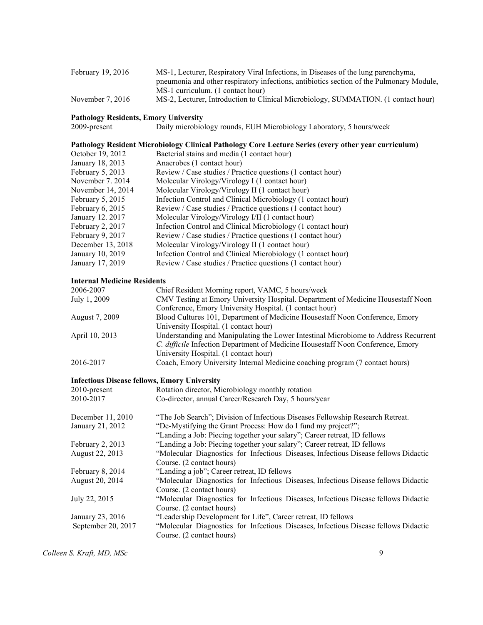| February $19, 2016$ | MS-1, Lecturer, Respiratory Viral Infections, in Diseases of the lung parenchyma,        |
|---------------------|------------------------------------------------------------------------------------------|
|                     | preumonia and other respiratory infections, antibiotics section of the Pulmonary Module, |
|                     | MS-1 curriculum. (1 contact hour)                                                        |
| November $7, 2016$  | MS-2, Lecturer, Introduction to Clinical Microbiology, SUMMATION. (1 contact hour)       |

# Pathology Residents, Emory University<br>2009-present Daily microbiol

Daily microbiology rounds, EUH Microbiology Laboratory, 5 hours/week

# Pathology Resident Microbiology Clinical Pathology Core Lecture Series (every other year curriculum)

| Bacterial stains and media (1 contact hour)                  |
|--------------------------------------------------------------|
| Anaerobes (1 contact hour)                                   |
| Review / Case studies / Practice questions (1 contact hour)  |
| Molecular Virology/Virology I (1 contact hour)               |
| Molecular Virology/Virology II (1 contact hour)              |
| Infection Control and Clinical Microbiology (1 contact hour) |
| Review / Case studies / Practice questions (1 contact hour)  |
| Molecular Virology/Virology I/II (1 contact hour)            |
| Infection Control and Clinical Microbiology (1 contact hour) |
| Review / Case studies / Practice questions (1 contact hour)  |
| Molecular Virology/Virology II (1 contact hour)              |
| Infection Control and Clinical Microbiology (1 contact hour) |
| Review / Case studies / Practice questions (1 contact hour)  |
|                                                              |

#### Internal Medicine Residents

| 2006-2007      | Chief Resident Morning report, VAMC, 5 hours/week                                   |
|----------------|-------------------------------------------------------------------------------------|
| July 1, 2009   | CMV Testing at Emory University Hospital. Department of Medicine Housestaff Noon    |
|                | Conference, Emory University Hospital. (1 contact hour)                             |
| August 7, 2009 | Blood Cultures 101, Department of Medicine Housestaff Noon Conference, Emory        |
|                | University Hospital. (1 contact hour)                                               |
| April 10, 2013 | Understanding and Manipulating the Lower Intestinal Microbiome to Address Recurrent |
|                | C. difficile Infection Department of Medicine Housestaff Noon Conference, Emory     |
|                | University Hospital. (1 contact hour)                                               |
| 2016-2017      | Coach, Emory University Internal Medicine coaching program (7 contact hours)        |

#### Infectious Disease fellows, Emory University

| $2010$ -present    | Rotation director, Microbiology monthly rotation                                                                 |
|--------------------|------------------------------------------------------------------------------------------------------------------|
| 2010-2017          | Co-director, annual Career/Research Day, 5 hours/year                                                            |
| December 11, 2010  | "The Job Search"; Division of Infectious Diseases Fellowship Research Retreat.                                   |
| January 21, 2012   | "De-Mystifying the Grant Process: How do I fund my project?";                                                    |
|                    | "Landing a Job: Piecing together your salary"; Career retreat, ID fellows                                        |
| February 2, 2013   | "Landing a Job: Piecing together your salary"; Career retreat, ID fellows                                        |
| August 22, 2013    | "Molecular Diagnostics for Infectious Diseases, Infectious Disease fellows Didactic                              |
|                    | Course. (2 contact hours)                                                                                        |
| February 8, 2014   | "Landing a job"; Career retreat, ID fellows                                                                      |
| August 20, 2014    | "Molecular Diagnostics for Infectious Diseases, Infectious Disease fellows Didactic<br>Course. (2 contact hours) |
| July 22, 2015      | "Molecular Diagnostics for Infectious Diseases, Infectious Disease fellows Didactic                              |
|                    | Course. (2 contact hours)                                                                                        |
| January 23, 2016   | "Leadership Development for Life", Career retreat, ID fellows                                                    |
| September 20, 2017 | "Molecular Diagnostics for Infectious Diseases, Infectious Disease fellows Didactic                              |
|                    | Course. (2 contact hours)                                                                                        |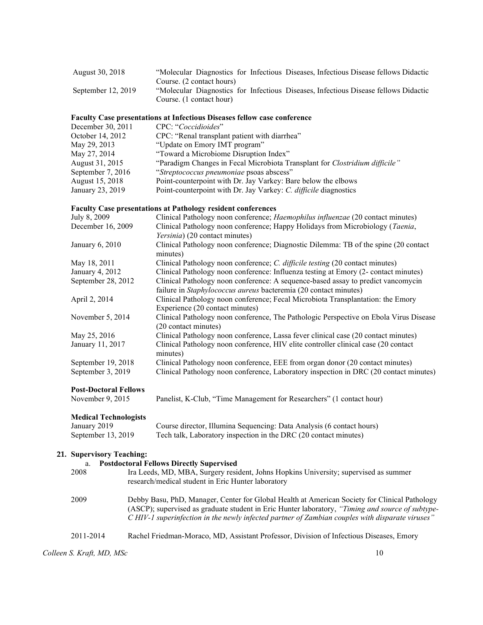| August 30, 2018    | "Molecular Diagnostics for Infectious Diseases, Infectious Disease fellows Didactic |
|--------------------|-------------------------------------------------------------------------------------|
|                    | Course. (2 contact hours)                                                           |
| September 12, 2019 | "Molecular Diagnostics for Infectious Diseases, Infectious Disease fellows Didactic |
|                    | Course. (1 contact hour)                                                            |

# Faculty Case presentations at Infectious Diseases fellow case conference

| December 30, 2011 | CPC: "Coccidioides"                                                         |
|-------------------|-----------------------------------------------------------------------------|
| October 14, 2012  | CPC: "Renal transplant patient with diarrhea"                               |
| May 29, 2013      | "Update on Emory IMT program"                                               |
| May 27, 2014      | "Toward a Microbiome Disruption Index"                                      |
| August 31, 2015   | "Paradigm Changes in Fecal Microbiota Transplant for Clostridium difficile" |
| September 7, 2016 | "Streptococcus pneumoniae psoas abscess"                                    |
| August 15, 2018   | Point-counterpoint with Dr. Jay Varkey: Bare below the elbows               |
| January 23, 2019  | Point-counterpoint with Dr. Jay Varkey: C. difficile diagnostics            |

# Faculty Case presentations at Pathology resident conferences

| July 8, 2009                 | Clinical Pathology noon conference; Haemophilus influenzae (20 contact minutes)       |
|------------------------------|---------------------------------------------------------------------------------------|
| December 16, 2009            | Clinical Pathology noon conference; Happy Holidays from Microbiology (Taenia,         |
|                              | Yersinia) (20 contact minutes)                                                        |
| January $6, 2010$            | Clinical Pathology noon conference; Diagnostic Dilemma: TB of the spine (20 contact   |
|                              | minutes)                                                                              |
| May 18, 2011                 | Clinical Pathology noon conference; C. difficile testing (20 contact minutes)         |
| January 4, 2012              | Clinical Pathology noon conference: Influenza testing at Emory (2- contact minutes)   |
| September 28, 2012           | Clinical Pathology noon conference: A sequence-based assay to predict vancomycin      |
|                              | failure in Staphylococcus aureus bacteremia (20 contact minutes)                      |
| April 2, 2014                | Clinical Pathology noon conference; Fecal Microbiota Transplantation: the Emory       |
|                              | Experience (20 contact minutes)                                                       |
| November 5, 2014             | Clinical Pathology noon conference, The Pathologic Perspective on Ebola Virus Disease |
|                              | (20 contact minutes)                                                                  |
| May 25, 2016                 | Clinical Pathology noon conference, Lassa fever clinical case (20 contact minutes)    |
| January 11, 2017             | Clinical Pathology noon conference, HIV elite controller clinical case (20 contact    |
|                              | minutes)                                                                              |
| September 19, 2018           | Clinical Pathology noon conference, EEE from organ donor (20 contact minutes)         |
| September 3, 2019            | Clinical Pathology noon conference, Laboratory inspection in DRC (20 contact minutes) |
| <b>Post-Doctoral Fellows</b> |                                                                                       |
| November 9, 2015             | Panelist, K-Club, "Time Management for Researchers" (1 contact hour)                  |

# Medical Technologists

| <b>MEGICAL LECTIFIOIOPISTS</b> |                                                                       |
|--------------------------------|-----------------------------------------------------------------------|
| January 2019                   | Course director, Illumina Sequencing: Data Analysis (6 contact hours) |
| September 13, 2019             | Tech talk, Laboratory inspection in the DRC (20 contact minutes)      |

# 21. Supervisory Teaching:

| a.        | <b>Postdoctoral Fellows Directly Supervised</b>                                                                                                                                                                                                                                                      |
|-----------|------------------------------------------------------------------------------------------------------------------------------------------------------------------------------------------------------------------------------------------------------------------------------------------------------|
| 2008      | Ira Leeds, MD, MBA, Surgery resident, Johns Hopkins University; supervised as summer                                                                                                                                                                                                                 |
|           | research/medical student in Eric Hunter laboratory                                                                                                                                                                                                                                                   |
| 2009      | Debby Basu, PhD, Manager, Center for Global Health at American Society for Clinical Pathology<br>(ASCP); supervised as graduate student in Eric Hunter laboratory, "Timing and source of subtype-<br>C HIV-1 superinfection in the newly infected partner of Zambian couples with disparate viruses" |
| 2011-2014 | Rachel Friedman-Moraco, MD, Assistant Professor, Division of Infectious Diseases, Emory                                                                                                                                                                                                              |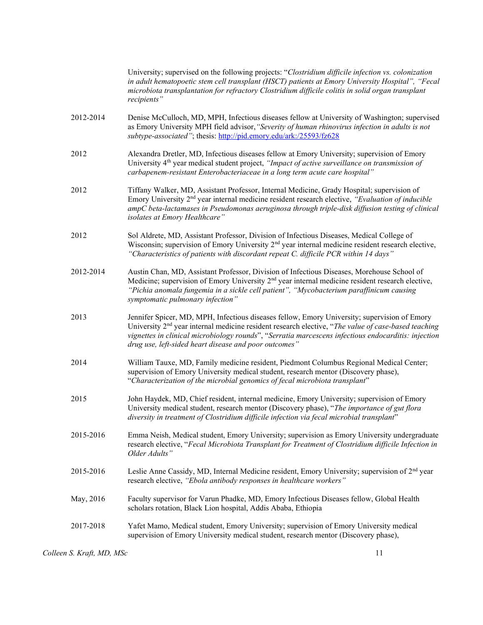|           | University; supervised on the following projects: "Clostridium difficile infection vs. colonization<br>in adult hematopoetic stem cell transplant (HSCT) patients at Emory University Hospital", "Fecal<br>microbiota transplantation for refractory Clostridium difficile colitis in solid organ transplant<br>recipients"                                                     |
|-----------|---------------------------------------------------------------------------------------------------------------------------------------------------------------------------------------------------------------------------------------------------------------------------------------------------------------------------------------------------------------------------------|
| 2012-2014 | Denise McCulloch, MD, MPH, Infectious diseases fellow at University of Washington; supervised<br>as Emory University MPH field advisor, "Severity of human rhinovirus infection in adults is not<br>subtype-associated"; thesis: http://pid.emory.edu/ark:/25593/fz628                                                                                                          |
| 2012      | Alexandra Dretler, MD, Infectious diseases fellow at Emory University; supervision of Emory<br>University $4th$ year medical student project, "Impact of active surveillance on transmission of<br>carbapenem-resistant Enterobacteriaceae in a long term acute care hospital"                                                                                                  |
| 2012      | Tiffany Walker, MD, Assistant Professor, Internal Medicine, Grady Hospital; supervision of<br>Emory University 2 <sup>nd</sup> year internal medicine resident research elective, "Evaluation of inducible<br>ampC beta-lactamases in Pseudomonas aeruginosa through triple-disk diffusion testing of clinical<br>isolates at Emory Healthcare"                                 |
| 2012      | Sol Aldrete, MD, Assistant Professor, Division of Infectious Diseases, Medical College of<br>Wisconsin; supervision of Emory University 2 <sup>nd</sup> year internal medicine resident research elective,<br>"Characteristics of patients with discordant repeat C. difficile PCR within 14 days"                                                                              |
| 2012-2014 | Austin Chan, MD, Assistant Professor, Division of Infectious Diseases, Morehouse School of<br>Medicine; supervision of Emory University 2 <sup>nd</sup> year internal medicine resident research elective,<br>"Pichia anomala fungemia in a sickle cell patient", "Mycobacterium paraffinicum causing<br>symptomatic pulmonary infection"                                       |
| 2013      | Jennifer Spicer, MD, MPH, Infectious diseases fellow, Emory University; supervision of Emory<br>University 2 <sup>nd</sup> year internal medicine resident research elective, "The value of case-based teaching<br>vignettes in clinical microbiology rounds", "Serratia marcescens infectious endocarditis: injection<br>drug use, left-sided heart disease and poor outcomes" |
| 2014      | William Tauxe, MD, Family medicine resident, Piedmont Columbus Regional Medical Center;<br>supervision of Emory University medical student, research mentor (Discovery phase),<br>"Characterization of the microbial genomics of fecal microbiota transplant"                                                                                                                   |
| 2015      | John Haydek, MD, Chief resident, internal medicine, Emory University; supervision of Emory<br>University medical student, research mentor (Discovery phase), "The importance of gut flora<br>diversity in treatment of Clostridium difficile infection via fecal microbial transplant"                                                                                          |
| 2015-2016 | Emma Neish, Medical student, Emory University; supervision as Emory University undergraduate<br>research elective, "Fecal Microbiota Transplant for Treatment of Clostridium difficile Infection in<br>Older Adults"                                                                                                                                                            |
| 2015-2016 | Leslie Anne Cassidy, MD, Internal Medicine resident, Emory University; supervision of 2 <sup>nd</sup> year<br>research elective, "Ebola antibody responses in healthcare workers"                                                                                                                                                                                               |
| May, 2016 | Faculty supervisor for Varun Phadke, MD, Emory Infectious Diseases fellow, Global Health<br>scholars rotation, Black Lion hospital, Addis Ababa, Ethiopia                                                                                                                                                                                                                       |
| 2017-2018 | Yafet Mamo, Medical student, Emory University; supervision of Emory University medical<br>supervision of Emory University medical student, research mentor (Discovery phase),                                                                                                                                                                                                   |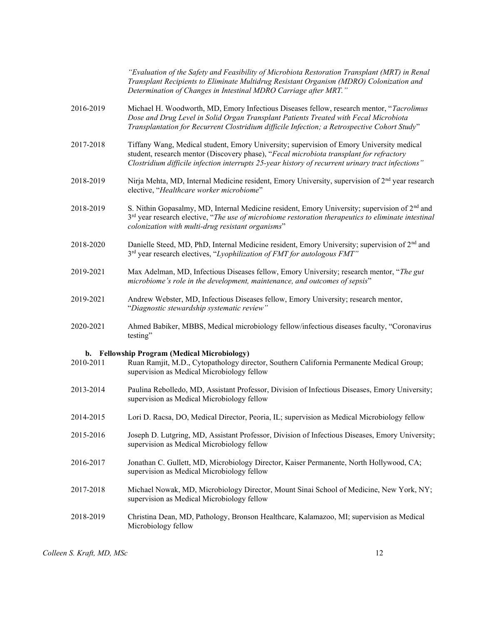|           | "Evaluation of the Safety and Feasibility of Microbiota Restoration Transplant (MRT) in Renal<br>Transplant Recipients to Eliminate Multidrug Resistant Organism (MDRO) Colonization and<br>Determination of Changes in Intestinal MDRO Carriage after MRT."                             |
|-----------|------------------------------------------------------------------------------------------------------------------------------------------------------------------------------------------------------------------------------------------------------------------------------------------|
| 2016-2019 | Michael H. Woodworth, MD, Emory Infectious Diseases fellow, research mentor, "Tacrolimus<br>Dose and Drug Level in Solid Organ Transplant Patients Treated with Fecal Microbiota<br>Transplantation for Recurrent Clostridium difficile Infection; a Retrospective Cohort Study"         |
| 2017-2018 | Tiffany Wang, Medical student, Emory University; supervision of Emory University medical<br>student, research mentor (Discovery phase), "Fecal microbiota transplant for refractory<br>Clostridium difficile infection interrupts 25-year history of recurrent urinary tract infections" |
| 2018-2019 | Nirja Mehta, MD, Internal Medicine resident, Emory University, supervision of 2 <sup>nd</sup> year research<br>elective, "Healthcare worker microbiome"                                                                                                                                  |
| 2018-2019 | S. Nithin Gopasalmy, MD, Internal Medicine resident, Emory University; supervision of $2nd$ and<br>$3rd$ year research elective, "The use of microbiome restoration therapeutics to eliminate intestinal<br>colonization with multi-drug resistant organisms"                            |
| 2018-2020 | Danielle Steed, MD, PhD, Internal Medicine resident, Emory University; supervision of $2nd$ and<br>3rd year research electives, "Lyophilization of FMT for autologous FMT"                                                                                                               |
| 2019-2021 | Max Adelman, MD, Infectious Diseases fellow, Emory University; research mentor, "The gut<br>microbiome's role in the development, maintenance, and outcomes of sepsis"                                                                                                                   |
| 2019-2021 | Andrew Webster, MD, Infectious Diseases fellow, Emory University; research mentor,<br>"Diagnostic stewardship systematic review"                                                                                                                                                         |
| 2020-2021 | Ahmed Babiker, MBBS, Medical microbiology fellow/infectious diseases faculty, "Coronavirus<br>testing"                                                                                                                                                                                   |
|           | b. Fellowship Program (Medical Microbiology)                                                                                                                                                                                                                                             |
| 2010-2011 | Ruan Ramjit, M.D., Cytopathology director, Southern California Permanente Medical Group;<br>supervision as Medical Microbiology fellow                                                                                                                                                   |
| 2013-2014 | Paulina Rebolledo, MD, Assistant Professor, Division of Infectious Diseases, Emory University;<br>supervision as Medical Microbiology fellow                                                                                                                                             |
| 2014-2015 | Lori D. Racsa, DO, Medical Director, Peoria, IL; supervision as Medical Microbiology fellow                                                                                                                                                                                              |
| 2015-2016 | Joseph D. Lutgring, MD, Assistant Professor, Division of Infectious Diseases, Emory University;<br>supervision as Medical Microbiology fellow                                                                                                                                            |
| 2016-2017 | Jonathan C. Gullett, MD, Microbiology Director, Kaiser Permanente, North Hollywood, CA;<br>supervision as Medical Microbiology fellow                                                                                                                                                    |
| 2017-2018 | Michael Nowak, MD, Microbiology Director, Mount Sinai School of Medicine, New York, NY;<br>supervision as Medical Microbiology fellow                                                                                                                                                    |
| 2018-2019 | Christina Dean, MD, Pathology, Bronson Healthcare, Kalamazoo, MI; supervision as Medical<br>Microbiology fellow                                                                                                                                                                          |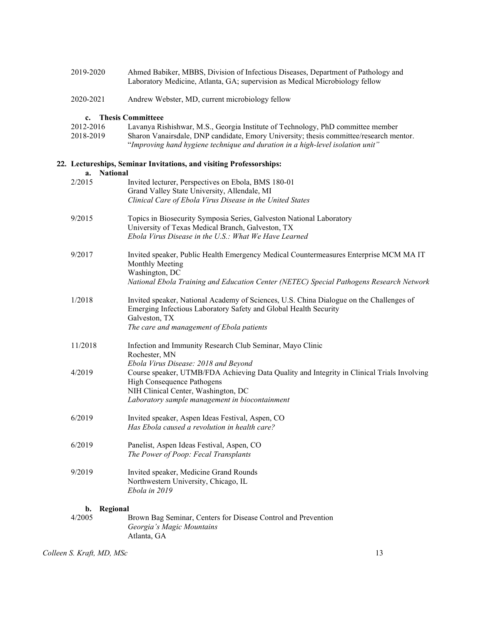| 2019-2020              | Ahmed Babiker, MBBS, Division of Infectious Diseases, Department of Pathology and<br>Laboratory Medicine, Atlanta, GA; supervision as Medical Microbiology fellow                                                                                           |  |  |
|------------------------|-------------------------------------------------------------------------------------------------------------------------------------------------------------------------------------------------------------------------------------------------------------|--|--|
| 2020-2021              | Andrew Webster, MD, current microbiology fellow                                                                                                                                                                                                             |  |  |
| c.                     | <b>Thesis Committeee</b>                                                                                                                                                                                                                                    |  |  |
| 2012-2016<br>2018-2019 | Lavanya Rishishwar, M.S., Georgia Institute of Technology, PhD committee member<br>Sharon Vanairsdale, DNP candidate, Emory University; thesis committee/research mentor.<br>"Improving hand hygiene technique and duration in a high-level isolation unit" |  |  |
| <b>National</b><br>a.  | 22. Lectureships, Seminar Invitations, and visiting Professorships:                                                                                                                                                                                         |  |  |
| 2/2015                 | Invited lecturer, Perspectives on Ebola, BMS 180-01                                                                                                                                                                                                         |  |  |
|                        | Grand Valley State University, Allendale, MI                                                                                                                                                                                                                |  |  |
|                        | Clinical Care of Ebola Virus Disease in the United States                                                                                                                                                                                                   |  |  |
| 9/2015                 | Topics in Biosecurity Symposia Series, Galveston National Laboratory                                                                                                                                                                                        |  |  |
|                        | University of Texas Medical Branch, Galveston, TX                                                                                                                                                                                                           |  |  |
|                        | Ebola Virus Disease in the U.S.: What We Have Learned                                                                                                                                                                                                       |  |  |
| 9/2017                 | Invited speaker, Public Health Emergency Medical Countermeasures Enterprise MCM MA IT                                                                                                                                                                       |  |  |
|                        | Monthly Meeting                                                                                                                                                                                                                                             |  |  |
|                        | Washington, DC                                                                                                                                                                                                                                              |  |  |
|                        | National Ebola Training and Education Center (NETEC) Special Pathogens Research Network                                                                                                                                                                     |  |  |
| 1/2018                 | Invited speaker, National Academy of Sciences, U.S. China Dialogue on the Challenges of<br>Emerging Infectious Laboratory Safety and Global Health Security<br>Galveston, TX                                                                                |  |  |
|                        | The care and management of Ebola patients                                                                                                                                                                                                                   |  |  |
| 11/2018                | Infection and Immunity Research Club Seminar, Mayo Clinic<br>Rochester, MN                                                                                                                                                                                  |  |  |
|                        | Ebola Virus Disease: 2018 and Beyond                                                                                                                                                                                                                        |  |  |
| 4/2019                 | Course speaker, UTMB/FDA Achieving Data Quality and Integrity in Clinical Trials Involving                                                                                                                                                                  |  |  |
|                        | High Consequence Pathogens<br>NIH Clinical Center, Washington, DC                                                                                                                                                                                           |  |  |
|                        | Laboratory sample management in biocontainment                                                                                                                                                                                                              |  |  |
|                        |                                                                                                                                                                                                                                                             |  |  |
| 6/2019                 | Invited speaker, Aspen Ideas Festival, Aspen, CO                                                                                                                                                                                                            |  |  |
|                        | Has Ebola caused a revolution in health care?                                                                                                                                                                                                               |  |  |
| 6/2019                 | Panelist, Aspen Ideas Festival, Aspen, CO                                                                                                                                                                                                                   |  |  |
|                        | The Power of Poop: Fecal Transplants                                                                                                                                                                                                                        |  |  |
| 9/2019                 | Invited speaker, Medicine Grand Rounds                                                                                                                                                                                                                      |  |  |
|                        | Northwestern University, Chicago, IL                                                                                                                                                                                                                        |  |  |
|                        | Ebola in 2019                                                                                                                                                                                                                                               |  |  |
| Regional<br>b.         |                                                                                                                                                                                                                                                             |  |  |
| 4/2005                 | Brown Bag Seminar, Centers for Disease Control and Prevention                                                                                                                                                                                               |  |  |
|                        | Georgia's Magic Mountains                                                                                                                                                                                                                                   |  |  |
|                        | Atlanta, GA                                                                                                                                                                                                                                                 |  |  |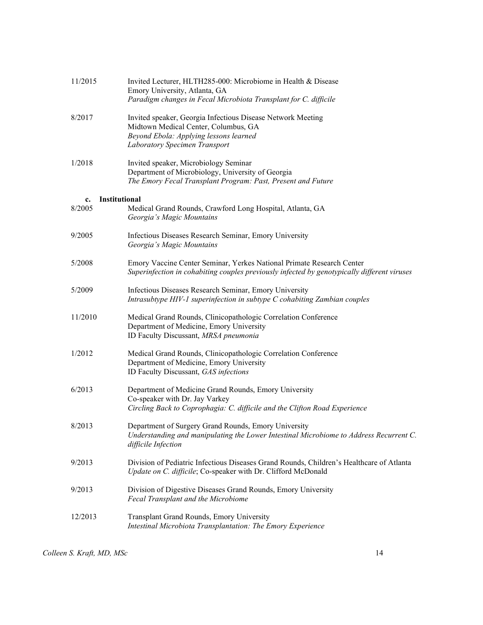| 11/2015                       | Invited Lecturer, HLTH285-000: Microbiome in Health & Disease<br>Emory University, Atlanta, GA<br>Paradigm changes in Fecal Microbiota Transplant for C. difficile             |
|-------------------------------|--------------------------------------------------------------------------------------------------------------------------------------------------------------------------------|
| 8/2017                        | Invited speaker, Georgia Infectious Disease Network Meeting<br>Midtown Medical Center, Columbus, GA<br>Beyond Ebola: Applying lessons learned<br>Laboratory Specimen Transport |
| 1/2018                        | Invited speaker, Microbiology Seminar<br>Department of Microbiology, University of Georgia<br>The Emory Fecal Transplant Program: Past, Present and Future                     |
|                               |                                                                                                                                                                                |
| Institutional<br>c.<br>8/2005 | Medical Grand Rounds, Crawford Long Hospital, Atlanta, GA<br>Georgia's Magic Mountains                                                                                         |
| 9/2005                        | Infectious Diseases Research Seminar, Emory University<br>Georgia's Magic Mountains                                                                                            |
| 5/2008                        | Emory Vaccine Center Seminar, Yerkes National Primate Research Center<br>Superinfection in cohabiting couples previously infected by genotypically different viruses           |
| 5/2009                        | Infectious Diseases Research Seminar, Emory University<br>Intrasubtype HIV-1 superinfection in subtype C cohabiting Zambian couples                                            |
| 11/2010                       | Medical Grand Rounds, Clinicopathologic Correlation Conference<br>Department of Medicine, Emory University<br>ID Faculty Discussant, MRSA pneumonia                            |
| 1/2012                        | Medical Grand Rounds, Clinicopathologic Correlation Conference<br>Department of Medicine, Emory University<br>ID Faculty Discussant, GAS infections                            |
| 6/2013                        | Department of Medicine Grand Rounds, Emory University<br>Co-speaker with Dr. Jay Varkey<br>Circling Back to Coprophagia: C. difficile and the Clifton Road Experience          |
| 8/2013                        | Department of Surgery Grand Rounds, Emory University<br>Understanding and manipulating the Lower Intestinal Microbiome to Address Recurrent C.<br>difficile Infection          |
| 9/2013                        | Division of Pediatric Infectious Diseases Grand Rounds, Children's Healthcare of Atlanta<br>Update on C. difficile; Co-speaker with Dr. Clifford McDonald                      |
| 9/2013                        | Division of Digestive Diseases Grand Rounds, Emory University<br>Fecal Transplant and the Microbiome                                                                           |
| 12/2013                       | Transplant Grand Rounds, Emory University<br>Intestinal Microbiota Transplantation: The Emory Experience                                                                       |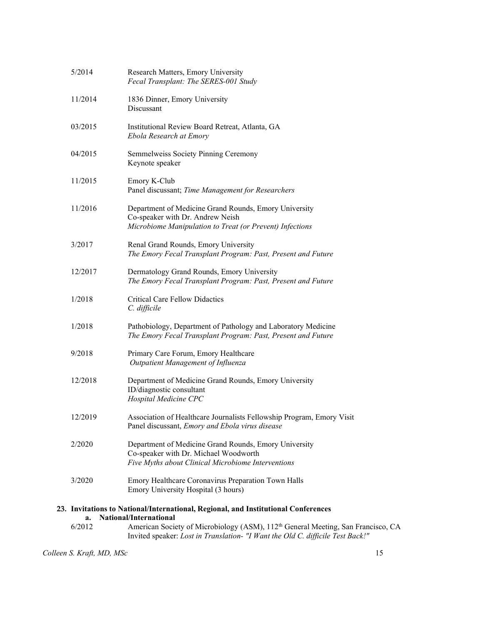| 5/2014  | Research Matters, Emory University<br>Fecal Transplant: The SERES-001 Study                                                                                                    |
|---------|--------------------------------------------------------------------------------------------------------------------------------------------------------------------------------|
| 11/2014 | 1836 Dinner, Emory University<br>Discussant                                                                                                                                    |
| 03/2015 | Institutional Review Board Retreat, Atlanta, GA<br>Ebola Research at Emory                                                                                                     |
| 04/2015 | Semmelweiss Society Pinning Ceremony<br>Keynote speaker                                                                                                                        |
| 11/2015 | Emory K-Club<br>Panel discussant; Time Management for Researchers                                                                                                              |
| 11/2016 | Department of Medicine Grand Rounds, Emory University<br>Co-speaker with Dr. Andrew Neish<br>Microbiome Manipulation to Treat (or Prevent) Infections                          |
| 3/2017  | Renal Grand Rounds, Emory University<br>The Emory Fecal Transplant Program: Past, Present and Future                                                                           |
| 12/2017 | Dermatology Grand Rounds, Emory University<br>The Emory Fecal Transplant Program: Past, Present and Future                                                                     |
| 1/2018  | <b>Critical Care Fellow Didactics</b><br>C. difficile                                                                                                                          |
| 1/2018  | Pathobiology, Department of Pathology and Laboratory Medicine<br>The Emory Fecal Transplant Program: Past, Present and Future                                                  |
| 9/2018  | Primary Care Forum, Emory Healthcare<br>Outpatient Management of Influenza                                                                                                     |
| 12/2018 | Department of Medicine Grand Rounds, Emory University<br>ID/diagnostic consultant<br>Hospital Medicine CPC                                                                     |
| 12/2019 | Association of Healthcare Journalists Fellowship Program, Emory Visit<br>Panel discussant, Emory and Ebola virus disease                                                       |
| 2/2020  | Department of Medicine Grand Rounds, Emory University<br>Co-speaker with Dr. Michael Woodworth<br>Five Myths about Clinical Microbiome Interventions                           |
| 3/2020  | Emory Healthcare Coronavirus Preparation Town Halls<br>Emory University Hospital (3 hours)                                                                                     |
| a.      | 23. Invitations to National/International, Regional, and Institutional Conferences<br>National/International                                                                   |
| 6/2012  | American Society of Microbiology (ASM), 112 <sup>th</sup> General Meeting, San Francisco, CA<br>Invited speaker: Lost in Translation- "I Want the Old C. difficile Test Back!" |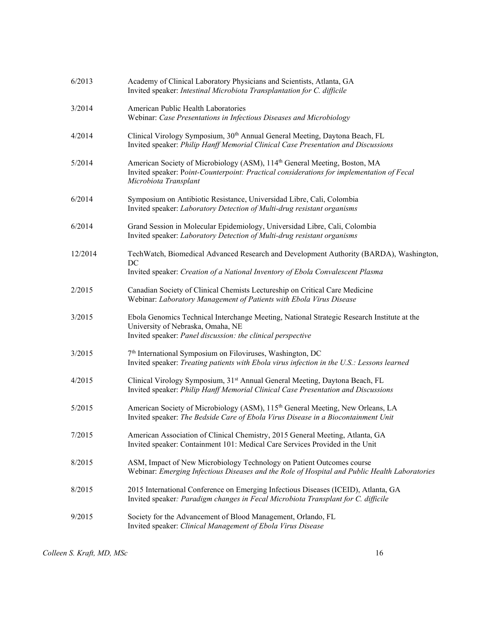| 6/2013  | Academy of Clinical Laboratory Physicians and Scientists, Atlanta, GA<br>Invited speaker: Intestinal Microbiota Transplantation for C. difficile                                                            |
|---------|-------------------------------------------------------------------------------------------------------------------------------------------------------------------------------------------------------------|
| 3/2014  | American Public Health Laboratories<br>Webinar: Case Presentations in Infectious Diseases and Microbiology                                                                                                  |
| 4/2014  | Clinical Virology Symposium, 30 <sup>th</sup> Annual General Meeting, Daytona Beach, FL<br>Invited speaker: Philip Hanff Memorial Clinical Case Presentation and Discussions                                |
| 5/2014  | American Society of Microbiology (ASM), 114 <sup>th</sup> General Meeting, Boston, MA<br>Invited speaker: Point-Counterpoint: Practical considerations for implementation of Fecal<br>Microbiota Transplant |
| 6/2014  | Symposium on Antibiotic Resistance, Universidad Libre, Cali, Colombia<br>Invited speaker: Laboratory Detection of Multi-drug resistant organisms                                                            |
| 6/2014  | Grand Session in Molecular Epidemiology, Universidad Libre, Cali, Colombia<br>Invited speaker: Laboratory Detection of Multi-drug resistant organisms                                                       |
| 12/2014 | TechWatch, Biomedical Advanced Research and Development Authority (BARDA), Washington,<br>DC<br>Invited speaker: Creation of a National Inventory of Ebola Convalescent Plasma                              |
| 2/2015  | Canadian Society of Clinical Chemists Lectureship on Critical Care Medicine<br>Webinar: Laboratory Management of Patients with Ebola Virus Disease                                                          |
| 3/2015  | Ebola Genomics Technical Interchange Meeting, National Strategic Research Institute at the<br>University of Nebraska, Omaha, NE<br>Invited speaker: Panel discussion: the clinical perspective              |
| 3/2015  | 7 <sup>th</sup> International Symposium on Filoviruses, Washington, DC<br>Invited speaker: Treating patients with Ebola virus infection in the U.S.: Lessons learned                                        |
| 4/2015  | Clinical Virology Symposium, 31 <sup>st</sup> Annual General Meeting, Daytona Beach, FL<br>Invited speaker: Philip Hanff Memorial Clinical Case Presentation and Discussions                                |
| 5/2015  | American Society of Microbiology (ASM), 115 <sup>th</sup> General Meeting, New Orleans, LA<br>Invited speaker: The Bedside Care of Ebola Virus Disease in a Biocontainment Unit                             |
| 7/2015  | American Association of Clinical Chemistry, 2015 General Meeting, Atlanta, GA<br>Invited speaker: Containment 101: Medical Care Services Provided in the Unit                                               |
| 8/2015  | ASM, Impact of New Microbiology Technology on Patient Outcomes course<br>Webinar: Emerging Infectious Diseases and the Role of Hospital and Public Health Laboratories                                      |
| 8/2015  | 2015 International Conference on Emerging Infectious Diseases (ICEID), Atlanta, GA<br>Invited speaker: Paradigm changes in Fecal Microbiota Transplant for C. difficile                                     |
| 9/2015  | Society for the Advancement of Blood Management, Orlando, FL<br>Invited speaker: Clinical Management of Ebola Virus Disease                                                                                 |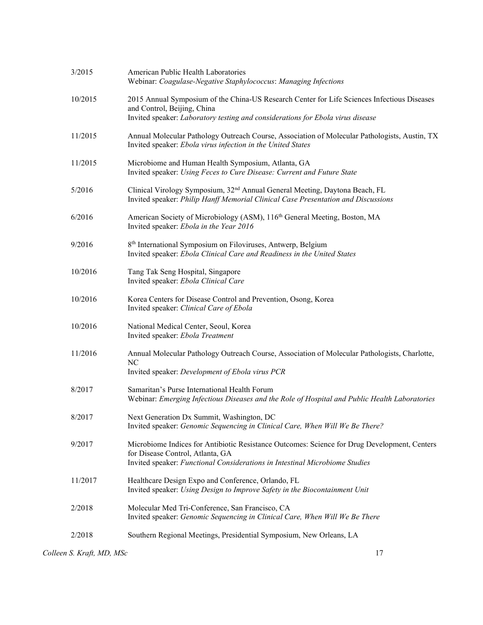| 3/2015  | American Public Health Laboratories<br>Webinar: Coagulase-Negative Staphylococcus: Managing Infections                                                                                                          |
|---------|-----------------------------------------------------------------------------------------------------------------------------------------------------------------------------------------------------------------|
| 10/2015 | 2015 Annual Symposium of the China-US Research Center for Life Sciences Infectious Diseases<br>and Control, Beijing, China<br>Invited speaker: Laboratory testing and considerations for Ebola virus disease    |
| 11/2015 | Annual Molecular Pathology Outreach Course, Association of Molecular Pathologists, Austin, TX<br>Invited speaker: Ebola virus infection in the United States                                                    |
| 11/2015 | Microbiome and Human Health Symposium, Atlanta, GA<br>Invited speaker: Using Feces to Cure Disease: Current and Future State                                                                                    |
| 5/2016  | Clinical Virology Symposium, 32 <sup>nd</sup> Annual General Meeting, Daytona Beach, FL<br>Invited speaker: Philip Hanff Memorial Clinical Case Presentation and Discussions                                    |
| 6/2016  | American Society of Microbiology (ASM), 116th General Meeting, Boston, MA<br>Invited speaker: Ebola in the Year 2016                                                                                            |
| 9/2016  | 8 <sup>th</sup> International Symposium on Filoviruses, Antwerp, Belgium<br>Invited speaker: Ebola Clinical Care and Readiness in the United States                                                             |
| 10/2016 | Tang Tak Seng Hospital, Singapore<br>Invited speaker: Ebola Clinical Care                                                                                                                                       |
| 10/2016 | Korea Centers for Disease Control and Prevention, Osong, Korea<br>Invited speaker: Clinical Care of Ebola                                                                                                       |
| 10/2016 | National Medical Center, Seoul, Korea<br>Invited speaker: Ebola Treatment                                                                                                                                       |
| 11/2016 | Annual Molecular Pathology Outreach Course, Association of Molecular Pathologists, Charlotte,<br>NC<br>Invited speaker: Development of Ebola virus PCR                                                          |
| 8/2017  | Samaritan's Purse International Health Forum<br>Webinar: Emerging Infectious Diseases and the Role of Hospital and Public Health Laboratories                                                                   |
| 8/2017  | Next Generation Dx Summit, Washington, DC<br>Invited speaker: Genomic Sequencing in Clinical Care, When Will We Be There?                                                                                       |
| 9/2017  | Microbiome Indices for Antibiotic Resistance Outcomes: Science for Drug Development, Centers<br>for Disease Control, Atlanta, GA<br>Invited speaker: Functional Considerations in Intestinal Microbiome Studies |
| 11/2017 | Healthcare Design Expo and Conference, Orlando, FL<br>Invited speaker: Using Design to Improve Safety in the Biocontainment Unit                                                                                |
| 2/2018  | Molecular Med Tri-Conference, San Francisco, CA<br>Invited speaker: Genomic Sequencing in Clinical Care, When Will We Be There                                                                                  |
| 2/2018  | Southern Regional Meetings, Presidential Symposium, New Orleans, LA                                                                                                                                             |
|         |                                                                                                                                                                                                                 |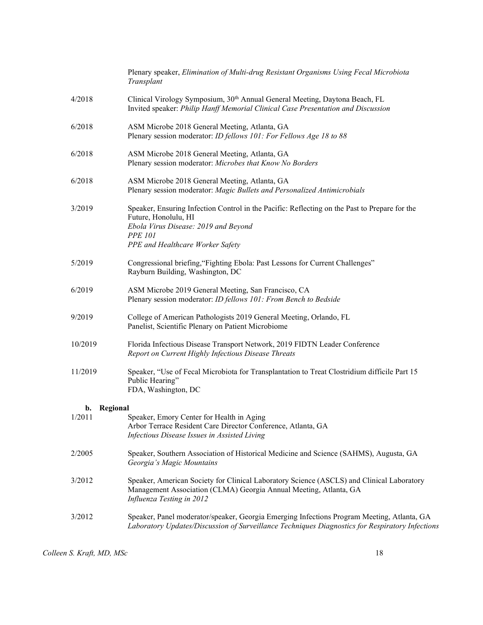|                | Plenary speaker, Elimination of Multi-drug Resistant Organisms Using Fecal Microbiota<br>Transplant                                                                                                                 |
|----------------|---------------------------------------------------------------------------------------------------------------------------------------------------------------------------------------------------------------------|
| 4/2018         | Clinical Virology Symposium, 30th Annual General Meeting, Daytona Beach, FL<br>Invited speaker: Philip Hanff Memorial Clinical Case Presentation and Discussion                                                     |
| 6/2018         | ASM Microbe 2018 General Meeting, Atlanta, GA<br>Plenary session moderator: ID fellows 101: For Fellows Age 18 to 88                                                                                                |
| 6/2018         | ASM Microbe 2018 General Meeting, Atlanta, GA<br>Plenary session moderator: Microbes that Know No Borders                                                                                                           |
| 6/2018         | ASM Microbe 2018 General Meeting, Atlanta, GA<br>Plenary session moderator: Magic Bullets and Personalized Antimicrobials                                                                                           |
| 3/2019         | Speaker, Ensuring Infection Control in the Pacific: Reflecting on the Past to Prepare for the<br>Future, Honolulu, HI<br>Ebola Virus Disease: 2019 and Beyond<br><b>PPE 101</b><br>PPE and Healthcare Worker Safety |
| 5/2019         | Congressional briefing, "Fighting Ebola: Past Lessons for Current Challenges"<br>Rayburn Building, Washington, DC                                                                                                   |
| 6/2019         | ASM Microbe 2019 General Meeting, San Francisco, CA<br>Plenary session moderator: ID fellows 101: From Bench to Bedside                                                                                             |
| 9/2019         | College of American Pathologists 2019 General Meeting, Orlando, FL<br>Panelist, Scientific Plenary on Patient Microbiome                                                                                            |
| 10/2019        | Florida Infectious Disease Transport Network, 2019 FIDTN Leader Conference<br>Report on Current Highly Infectious Disease Threats                                                                                   |
| 11/2019        | Speaker, "Use of Fecal Microbiota for Transplantation to Treat Clostridium difficile Part 15<br>Public Hearing"<br>FDA, Washington, DC                                                                              |
| Regional<br>b. |                                                                                                                                                                                                                     |
| 1/2011         | Speaker, Emory Center for Health in Aging<br>Arbor Terrace Resident Care Director Conference, Atlanta, GA<br>Infectious Disease Issues in Assisted Living                                                           |
| 2/2005         | Speaker, Southern Association of Historical Medicine and Science (SAHMS), Augusta, GA<br>Georgia's Magic Mountains                                                                                                  |
| 3/2012         | Speaker, American Society for Clinical Laboratory Science (ASCLS) and Clinical Laboratory<br>Management Association (CLMA) Georgia Annual Meeting, Atlanta, GA<br>Influenza Testing in 2012                         |
| 3/2012         | Speaker, Panel moderator/speaker, Georgia Emerging Infections Program Meeting, Atlanta, GA<br>Laboratory Updates/Discussion of Surveillance Techniques Diagnostics for Respiratory Infections                       |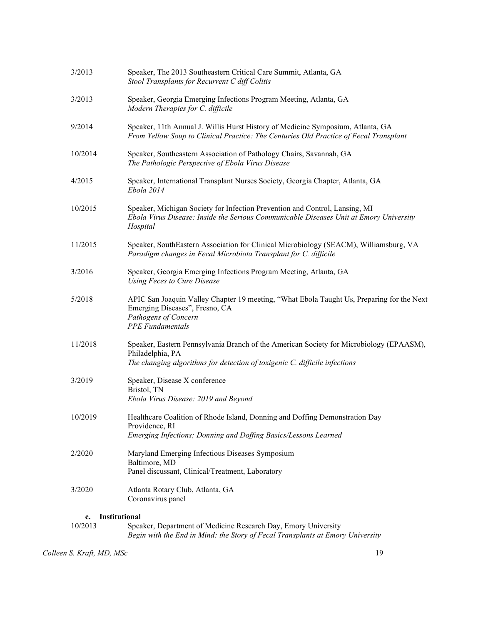| 3/2013              | Speaker, The 2013 Southeastern Critical Care Summit, Atlanta, GA<br>Stool Transplants for Recurrent C diff Colitis                                                                        |
|---------------------|-------------------------------------------------------------------------------------------------------------------------------------------------------------------------------------------|
| 3/2013              | Speaker, Georgia Emerging Infections Program Meeting, Atlanta, GA<br>Modern Therapies for C. difficile                                                                                    |
| 9/2014              | Speaker, 11th Annual J. Willis Hurst History of Medicine Symposium, Atlanta, GA<br>From Yellow Soup to Clinical Practice: The Centuries Old Practice of Fecal Transplant                  |
| 10/2014             | Speaker, Southeastern Association of Pathology Chairs, Savannah, GA<br>The Pathologic Perspective of Ebola Virus Disease                                                                  |
| 4/2015              | Speaker, International Transplant Nurses Society, Georgia Chapter, Atlanta, GA<br>Ebola 2014                                                                                              |
| 10/2015             | Speaker, Michigan Society for Infection Prevention and Control, Lansing, MI<br>Ebola Virus Disease: Inside the Serious Communicable Diseases Unit at Emory University<br>Hospital         |
| 11/2015             | Speaker, SouthEastern Association for Clinical Microbiology (SEACM), Williamsburg, VA<br>Paradigm changes in Fecal Microbiota Transplant for C. difficile                                 |
| 3/2016              | Speaker, Georgia Emerging Infections Program Meeting, Atlanta, GA<br>Using Feces to Cure Disease                                                                                          |
| 5/2018              | APIC San Joaquin Valley Chapter 19 meeting, "What Ebola Taught Us, Preparing for the Next<br>Emerging Diseases", Fresno, CA<br>Pathogens of Concern<br><b>PPE</b> Fundamentals            |
| 11/2018             | Speaker, Eastern Pennsylvania Branch of the American Society for Microbiology (EPAASM),<br>Philadelphia, PA<br>The changing algorithms for detection of toxigenic C. difficile infections |
| 3/2019              | Speaker, Disease X conference<br>Bristol, TN<br>Ebola Virus Disease: 2019 and Beyond                                                                                                      |
| 10/2019             | Healthcare Coalition of Rhode Island, Donning and Doffing Demonstration Day<br>Providence, RI<br>Emerging Infections; Donning and Doffing Basics/Lessons Learned                          |
| 2/2020              | Maryland Emerging Infectious Diseases Symposium<br>Baltimore, MD<br>Panel discussant, Clinical/Treatment, Laboratory                                                                      |
| 3/2020              | Atlanta Rotary Club, Atlanta, GA<br>Coronavirus panel                                                                                                                                     |
| Institutional<br>c. |                                                                                                                                                                                           |

10/2013 Speaker, Department of Medicine Research Day, Emory University Begin with the End in Mind: the Story of Fecal Transplants at Emory University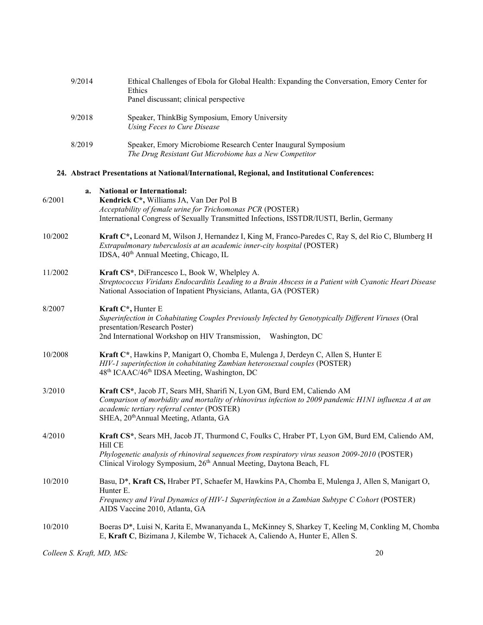| 9/2014 | Ethical Challenges of Ebola for Global Health: Expanding the Conversation, Emory Center for<br>Ethics                   |
|--------|-------------------------------------------------------------------------------------------------------------------------|
|        | Panel discussant; clinical perspective                                                                                  |
| 9/2018 | Speaker, ThinkBig Symposium, Emory University<br>Using Feces to Cure Disease                                            |
| 8/2019 | Speaker, Emory Microbiome Research Center Inaugural Symposium<br>The Drug Resistant Gut Microbiome has a New Competitor |
|        | 24. Abstract Presentations at National/International, Regional, and Institutional Conferences:                          |

| a.<br>6/2001 | <b>National or International:</b><br>Kendrick C*, Williams JA, Van Der Pol B<br>Acceptability of female urine for Trichomonas PCR (POSTER)<br>International Congress of Sexually Transmitted Infections, ISSTDR/IUSTI, Berlin, Germany                                               |
|--------------|--------------------------------------------------------------------------------------------------------------------------------------------------------------------------------------------------------------------------------------------------------------------------------------|
| 10/2002      | Kraft C*, Leonard M, Wilson J, Hernandez I, King M, Franco-Paredes C, Ray S, del Rio C, Blumberg H<br>Extrapulmonary tuberculosis at an academic inner-city hospital (POSTER)<br>IDSA, 40 <sup>th</sup> Annual Meeting, Chicago, IL                                                  |
| 11/2002      | Kraft CS*, DiFrancesco L, Book W, Whelpley A.<br>Streptococcus Viridans Endocarditis Leading to a Brain Abscess in a Patient with Cyanotic Heart Disease<br>National Association of Inpatient Physicians, Atlanta, GA (POSTER)                                                       |
| 8/2007       | Kraft C*, Hunter E<br>Superinfection in Cohabitating Couples Previously Infected by Genotypically Different Viruses (Oral<br>presentation/Research Poster)<br>2nd International Workshop on HIV Transmission,<br>Washington, DC                                                      |
| 10/2008      | Kraft C*, Hawkins P, Manigart O, Chomba E, Mulenga J, Derdeyn C, Allen S, Hunter E<br>HIV-1 superinfection in cohabitating Zambian heterosexual couples (POSTER)<br>48 <sup>th</sup> ICAAC/46 <sup>th</sup> IDSA Meeting, Washington, DC                                             |
| 3/2010       | Kraft CS*, Jacob JT, Sears MH, Sharifi N, Lyon GM, Burd EM, Caliendo AM<br>Comparison of morbidity and mortality of rhinovirus infection to 2009 pandemic H1N1 influenza A at an<br>academic tertiary referral center (POSTER)<br>SHEA, 20 <sup>th</sup> Annual Meeting, Atlanta, GA |
| 4/2010       | Kraft CS*, Sears MH, Jacob JT, Thurmond C, Foulks C, Hraber PT, Lyon GM, Burd EM, Caliendo AM,<br>Hill CE<br>Phylogenetic analysis of rhinoviral sequences from respiratory virus season 2009-2010 (POSTER)<br>Clinical Virology Symposium, 26th Annual Meeting, Daytona Beach, FL   |
| 10/2010      | Basu, D*, Kraft CS, Hraber PT, Schaefer M, Hawkins PA, Chomba E, Mulenga J, Allen S, Manigart O,<br>Hunter E.<br>Frequency and Viral Dynamics of HIV-1 Superinfection in a Zambian Subtype C Cohort (POSTER)<br>AIDS Vaccine 2010, Atlanta, GA                                       |
| 10/2010      | Boeras D*, Luisi N, Karita E, Mwananyanda L, McKinney S, Sharkey T, Keeling M, Conkling M, Chomba<br>E, Kraft C, Bizimana J, Kilembe W, Tichacek A, Caliendo A, Hunter E, Allen S.                                                                                                   |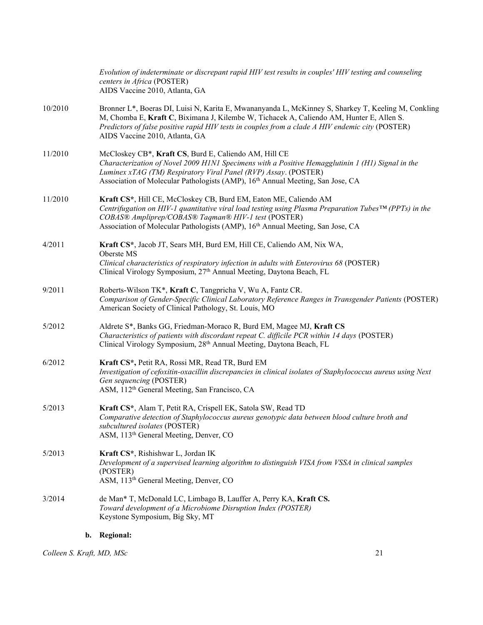|         | b. Regional:                                                                                                                                                                                                                                                                                                                          |
|---------|---------------------------------------------------------------------------------------------------------------------------------------------------------------------------------------------------------------------------------------------------------------------------------------------------------------------------------------|
| 3/2014  | de Man* T, McDonald LC, Limbago B, Lauffer A, Perry KA, Kraft CS.<br>Toward development of a Microbiome Disruption Index (POSTER)<br>Keystone Symposium, Big Sky, MT                                                                                                                                                                  |
| 5/2013  | Kraft CS*, Rishishwar L, Jordan IK<br>Development of a supervised learning algorithm to distinguish VISA from VSSA in clinical samples<br>(POSTER)<br>ASM, 113 <sup>th</sup> General Meeting, Denver, CO                                                                                                                              |
| 5/2013  | Kraft CS*, Alam T, Petit RA, Crispell EK, Satola SW, Read TD<br>Comparative detection of Staphylococcus aureus genotypic data between blood culture broth and<br>subcultured isolates (POSTER)<br>ASM, 113 <sup>th</sup> General Meeting, Denver, CO                                                                                  |
| 6/2012  | Kraft CS*, Petit RA, Rossi MR, Read TR, Burd EM<br>Investigation of cefoxitin-oxacillin discrepancies in clinical isolates of Staphylococcus aureus using Next<br>Gen sequencing (POSTER)<br>ASM, 112 <sup>th</sup> General Meeting, San Francisco, CA                                                                                |
| 5/2012  | Aldrete S*, Banks GG, Friedman-Moraco R, Burd EM, Magee MJ, Kraft CS<br>Characteristics of patients with discordant repeat C. difficile PCR within 14 days (POSTER)<br>Clinical Virology Symposium, 28th Annual Meeting, Daytona Beach, FL                                                                                            |
| 9/2011  | Roberts-Wilson TK*, Kraft C, Tangpricha V, Wu A, Fantz CR.<br>Comparison of Gender-Specific Clinical Laboratory Reference Ranges in Transgender Patients (POSTER)<br>American Society of Clinical Pathology, St. Louis, MO                                                                                                            |
| 4/2011  | Kraft CS*, Jacob JT, Sears MH, Burd EM, Hill CE, Caliendo AM, Nix WA,<br>Oberste MS<br>Clinical characteristics of respiratory infection in adults with Enterovirus 68 (POSTER)<br>Clinical Virology Symposium, 27th Annual Meeting, Daytona Beach, FL                                                                                |
|         | Centrifugation on HIV-1 quantitative viral load testing using Plasma Preparation Tubes <sup>TM</sup> (PPTs) in the<br>COBAS® Ampliprep/COBAS® Taqman® HIV-1 test (POSTER)<br>Association of Molecular Pathologists (AMP), 16 <sup>th</sup> Annual Meeting, San Jose, CA                                                               |
| 11/2010 | Kraft CS*, Hill CE, McCloskey CB, Burd EM, Eaton ME, Caliendo AM                                                                                                                                                                                                                                                                      |
| 11/2010 | McCloskey CB*, Kraft CS, Burd E, Caliendo AM, Hill CE<br>Characterization of Novel 2009 H1N1 Specimens with a Positive Hemagglutinin 1 (H1) Signal in the<br>Luminex xTAG (TM) Respiratory Viral Panel (RVP) Assay. (POSTER)<br>Association of Molecular Pathologists (AMP), 16 <sup>th</sup> Annual Meeting, San Jose, CA            |
| 10/2010 | Bronner L*, Boeras DI, Luisi N, Karita E, Mwananyanda L, McKinney S, Sharkey T, Keeling M, Conkling<br>M, Chomba E, Kraft C, Biximana J, Kilembe W, Tichacek A, Caliendo AM, Hunter E, Allen S.<br>Predictors of false positive rapid HIV tests in couples from a clade A HIV endemic city (POSTER)<br>AIDS Vaccine 2010, Atlanta, GA |
|         | Evolution of indeterminate or discrepant rapid HIV test results in couples' HIV testing and counseling<br>centers in Africa (POSTER)<br>AIDS Vaccine 2010, Atlanta, GA                                                                                                                                                                |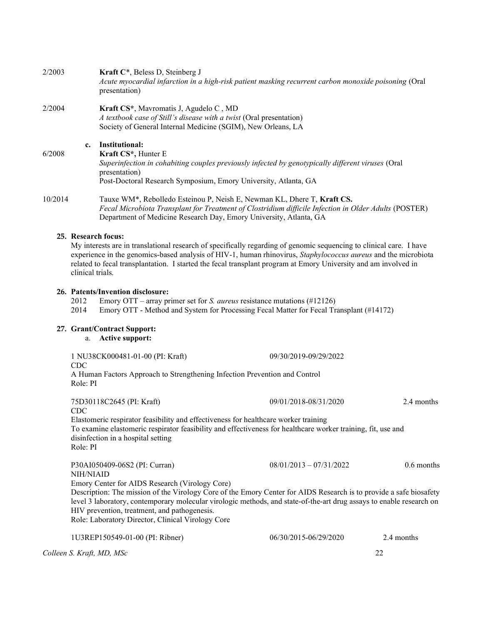| 2/2003  |               | <b>Kraft C*</b> , Beless D, Steinberg J<br>Acute myocardial infarction in a high-risk patient masking recurrent carbon monoxide poisoning (Oral<br>presentation)                                                                                                           |
|---------|---------------|----------------------------------------------------------------------------------------------------------------------------------------------------------------------------------------------------------------------------------------------------------------------------|
| 2/2004  |               | Kraft CS*, Mavromatis J, Agudelo C, MD<br>A textbook case of Still's disease with a twist (Oral presentation)<br>Society of General Internal Medicine (SGIM), New Orleans, LA                                                                                              |
| 6/2008  | $c_{\bullet}$ | Institutional:<br>Kraft CS <sup>*</sup> , Hunter E<br>Superinfection in cohabiting couples previously infected by genotypically different viruses (Oral<br>presentation)<br>Post-Doctoral Research Symposium, Emory University, Atlanta, GA                                |
| 10/2014 |               | Tauxe WM <sup>*</sup> , Rebolledo Esteinou P, Neish E, Newman KL, Dhere T, <b>Kraft CS.</b><br>Fecal Microbiota Transplant for Treatment of Clostridium difficile Infection in Older Adults (POSTER)<br>Department of Medicine Research Day, Emory University, Atlanta, GA |
|         |               | 25. Research focus:<br>My interests are in translational research of specifically regarding of genomic sequencing to clinical care. I have<br>experience in the genomics-based analysis of HIV-1, human rhinovirus, Staphylococcus aureus and the microbiota               |

# 26. Patents/Invention disclosure:<br>2012 Emory OTT – array pr

clinical trials.

2012 Emory OTT – array primer set for *S. aureus* resistance mutations (#12126)<br>2014 Emory OTT - Method and System for Processing Fecal Matter for Fecal Tr.

Emory OTT - Method and System for Processing Fecal Matter for Fecal Transplant (#14172)

related to fecal transplantation. I started the fecal transplant program at Emory University and am involved in

# 27. Grant/Contract Support:

a. Active support:

| 1 NU38CK000481-01-00 (PI: Kraft)<br><b>CDC</b><br>A Human Factors Approach to Strengthening Infection Prevention and Control<br>Role: PI                                                                                                                                                                                                                                                                                                        | 09/30/2019-09/29/2022     |              |
|-------------------------------------------------------------------------------------------------------------------------------------------------------------------------------------------------------------------------------------------------------------------------------------------------------------------------------------------------------------------------------------------------------------------------------------------------|---------------------------|--------------|
| 75D30118C2645 (PI: Kraft)<br><b>CDC</b><br>Elastomeric respirator feasibility and effectiveness for healthcare worker training<br>To examine elastomeric respirator feasibility and effectiveness for healthcare worker training, fit, use and<br>disinfection in a hospital setting<br>Role: PI                                                                                                                                                | 09/01/2018-08/31/2020     | 2.4 months   |
| P30AI050409-06S2 (PI: Curran)<br>NIH/NIAID<br>Emory Center for AIDS Research (Virology Core)<br>Description: The mission of the Virology Core of the Emory Center for AIDS Research is to provide a safe biosafety<br>level 3 laboratory, contemporary molecular virologic methods, and state-of-the-art drug assays to enable research on<br>HIV prevention, treatment, and pathogenesis.<br>Role: Laboratory Director, Clinical Virology Core | $08/01/2013 - 07/31/2022$ | $0.6$ months |

Colleen S. Kraft, MD, MSc 22 1U3REP150549-01-00 (PI: Ribner) 06/30/2015-06/29/2020 2.4 months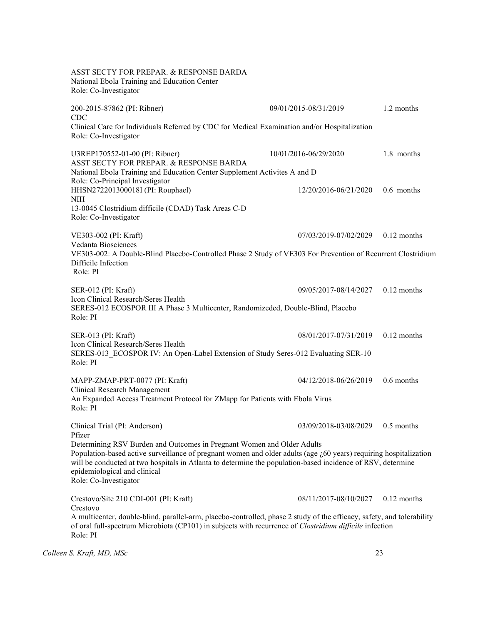ASST SECTY FOR PREPAR. & RESPONSE BARDA National Ebola Training and Education Center Role: Co-Investigator 200-2015-87862 (PI: Ribner) 09/01/2015-08/31/2019 1.2 months CDC Clinical Care for Individuals Referred by CDC for Medical Examination and/or Hospitalization Role: Co-Investigator U3REP170552-01-00 (PI: Ribner) 10/01/2016-06/29/2020 1.8 months ASST SECTY FOR PREPAR. & RESPONSE BARDA National Ebola Training and Education Center Supplement Activites A and D Role: Co-Principal Investigator HHSN272201300018I (PI: Rouphael) 12/20/2016-06/21/2020 0.6 months NIH 13-0045 Clostridium difficile (CDAD) Task Areas C-D Role: Co-Investigator VE303-002 (PI: Kraft) 07/03/2019-07/02/2029 0.12 months Vedanta Biosciences VE303-002: A Double-Blind Placebo-Controlled Phase 2 Study of VE303 For Prevention of Recurrent Clostridium Difficile Infection Role: PI SER-012 (PI: Kraft) 09/05/2017-08/14/2027 0.12 months Icon Clinical Research/Seres Health SERES-012 ECOSPOR III A Phase 3 Multicenter, Randomizeded, Double-Blind, Placebo Role: PI SER-013 (PI: Kraft) 08/01/2017-07/31/2019 0.12 months Icon Clinical Research/Seres Health SERES-013\_ECOSPOR IV: An Open-Label Extension of Study Seres-012 Evaluating SER-10 Role: PI MAPP-ZMAP-PRT-0077 (PI: Kraft) 04/12/2018-06/26/2019 0.6 months Clinical Research Management An Expanded Access Treatment Protocol for ZMapp for Patients with Ebola Virus Role: PI Clinical Trial (PI: Anderson) 03/09/2018-03/08/2029 0.5 months Pfizer Determining RSV Burden and Outcomes in Pregnant Women and Older Adults Population-based active surveillance of pregnant women and older adults (age  $\lambda$ 60 years) requiring hospitalization will be conducted at two hospitals in Atlanta to determine the population-based incidence of RSV, determine epidemiological and clinical Role: Co-Investigator Crestovo/Site 210 CDI-001 (PI: Kraft) 08/11/2017-08/10/2027 0.12 months Crestovo A multicenter, double-blind, parallel-arm, placebo-controlled, phase 2 study of the efficacy, safety, and tolerability of oral full-spectrum Microbiota (CP101) in subjects with recurrence of Clostridium difficile infection Role: PI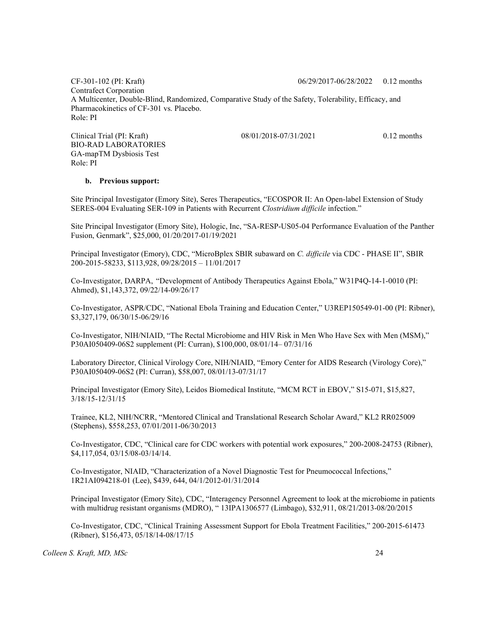CF-301-102 (PI: Kraft) 06/29/2017-06/28/2022 0.12 months Contrafect Corporation A Multicenter, Double-Blind, Randomized, Comparative Study of the Safety, Tolerability, Efficacy, and Pharmacokinetics of CF-301 vs. Placebo. Role: PI

Clinical Trial (PI: Kraft) 08/01/2018-07/31/2021 0.12 months BIO-RAD LABORATORIES GA-mapTM Dysbiosis Test Role: PI

#### b. Previous support:

Site Principal Investigator (Emory Site), Seres Therapeutics, "ECOSPOR II: An Open-label Extension of Study SERES-004 Evaluating SER-109 in Patients with Recurrent Clostridium difficile infection."

Site Principal Investigator (Emory Site), Hologic, Inc, "SA-RESP-US05-04 Performance Evaluation of the Panther Fusion, Genmark", \$25,000, 01/20/2017-01/19/2021

Principal Investigator (Emory), CDC, "MicroBplex SBIR subaward on C. difficile via CDC - PHASE II", SBIR 200-2015-58233, \$113,928, 09/28/2015 – 11/01/2017

Co-Investigator, DARPA, "Development of Antibody Therapeutics Against Ebola," W31P4Q-14-1-0010 (PI: Ahmed), \$1,143,372, 09/22/14-09/26/17

Co-Investigator, ASPR/CDC, "National Ebola Training and Education Center," U3REP150549-01-00 (PI: Ribner), \$3,327,179, 06/30/15-06/29/16

Co-Investigator, NIH/NIAID, "The Rectal Microbiome and HIV Risk in Men Who Have Sex with Men (MSM)," P30AI050409-06S2 supplement (PI: Curran), \$100,000, 08/01/14– 07/31/16

Laboratory Director, Clinical Virology Core, NIH/NIAID, "Emory Center for AIDS Research (Virology Core)," P30AI050409-06S2 (PI: Curran), \$58,007, 08/01/13-07/31/17

Principal Investigator (Emory Site), Leidos Biomedical Institute, "MCM RCT in EBOV," S15-071, \$15,827, 3/18/15-12/31/15

Trainee, KL2, NIH/NCRR, "Mentored Clinical and Translational Research Scholar Award," KL2 RR025009 (Stephens), \$558,253, 07/01/2011-06/30/2013

Co-Investigator, CDC, "Clinical care for CDC workers with potential work exposures," 200-2008-24753 (Ribner), \$4,117,054, 03/15/08-03/14/14.

Co-Investigator, NIAID, "Characterization of a Novel Diagnostic Test for Pneumococcal Infections," 1R21AI094218-01 (Lee), \$439, 644, 04/1/2012-01/31/2014

Principal Investigator (Emory Site), CDC, "Interagency Personnel Agreement to look at the microbiome in patients with multidrug resistant organisms (MDRO), " 13IPA1306577 (Limbago), \$32,911, 08/21/2013-08/20/2015

Co-Investigator, CDC, "Clinical Training Assessment Support for Ebola Treatment Facilities," 200-2015-61473 (Ribner), \$156,473, 05/18/14-08/17/15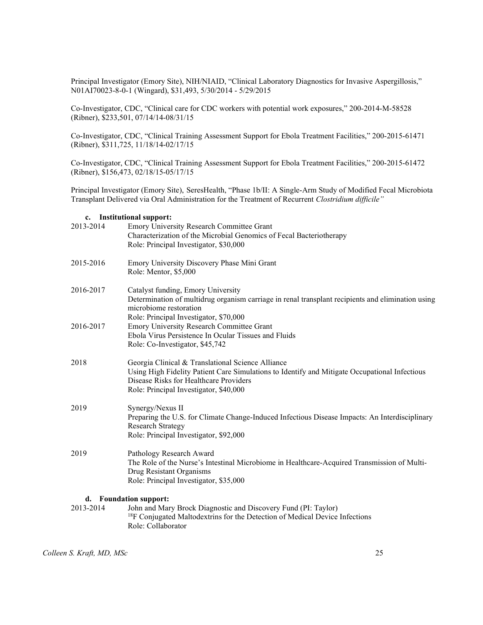Principal Investigator (Emory Site), NIH/NIAID, "Clinical Laboratory Diagnostics for Invasive Aspergillosis," N01AI70023-8-0-1 (Wingard), \$31,493, 5/30/2014 - 5/29/2015

Co-Investigator, CDC, "Clinical care for CDC workers with potential work exposures," 200-2014-M-58528 (Ribner), \$233,501, 07/14/14-08/31/15

Co-Investigator, CDC, "Clinical Training Assessment Support for Ebola Treatment Facilities," 200-2015-61471 (Ribner), \$311,725, 11/18/14-02/17/15

Co-Investigator, CDC, "Clinical Training Assessment Support for Ebola Treatment Facilities," 200-2015-61472 (Ribner), \$156,473, 02/18/15-05/17/15

Principal Investigator (Emory Site), SeresHealth, "Phase 1b/II: A Single-Arm Study of Modified Fecal Microbiota Transplant Delivered via Oral Administration for the Treatment of Recurrent Clostridium difficile"

# c. Institutional support:

| 2013-2014 | Emory University Research Committee Grant                                                         |
|-----------|---------------------------------------------------------------------------------------------------|
|           | Characterization of the Microbial Genomics of Fecal Bacteriotherapy                               |
|           | Role: Principal Investigator, \$30,000                                                            |
| 2015-2016 | Emory University Discovery Phase Mini Grant                                                       |
|           | Role: Mentor, \$5,000                                                                             |
| 2016-2017 | Catalyst funding, Emory University                                                                |
|           | Determination of multidrug organism carriage in renal transplant recipients and elimination using |
|           | microbiome restoration<br>Role: Principal Investigator, \$70,000                                  |
| 2016-2017 | Emory University Research Committee Grant                                                         |
|           | Ebola Virus Persistence In Ocular Tissues and Fluids                                              |
|           | Role: Co-Investigator, \$45,742                                                                   |
| 2018      | Georgia Clinical & Translational Science Alliance                                                 |
|           | Using High Fidelity Patient Care Simulations to Identify and Mitigate Occupational Infectious     |
|           | Disease Risks for Healthcare Providers                                                            |
|           | Role: Principal Investigator, \$40,000                                                            |
| 2019      | Synergy/Nexus II                                                                                  |
|           | Preparing the U.S. for Climate Change-Induced Infectious Disease Impacts: An Interdisciplinary    |
|           | <b>Research Strategy</b>                                                                          |
|           | Role: Principal Investigator, \$92,000                                                            |
| 2019      | Pathology Research Award                                                                          |
|           | The Role of the Nurse's Intestinal Microbiome in Healthcare-Acquired Transmission of Multi-       |
|           | Drug Resistant Organisms                                                                          |
|           | Role: Principal Investigator, \$35,000                                                            |
|           | d. Foundation support:                                                                            |
| 2013-2014 | John and Mary Brock Diagnostic and Discovery Fund (PI: Taylor)                                    |
|           | <sup>18</sup> F Conjugated Maltodextrins for the Detection of Medical Device Infections           |

Colleen S. Kraft, MD, MSc 25

Role: Collaborator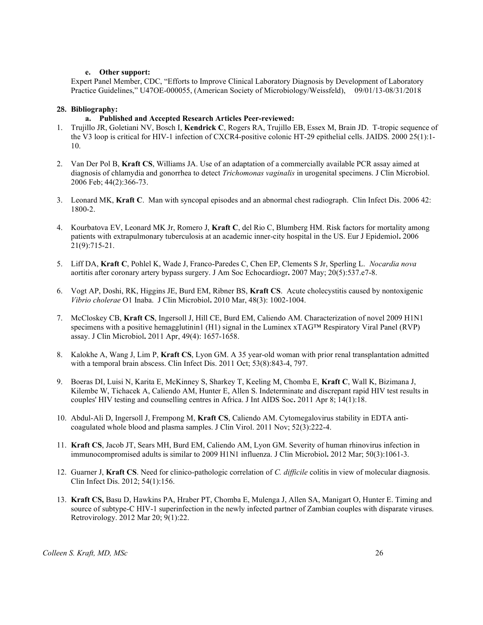#### e. Other support:

Expert Panel Member, CDC, "Efforts to Improve Clinical Laboratory Diagnosis by Development of Laboratory Practice Guidelines," U47OE-000055, (American Society of Microbiology/Weissfeld), 09/01/13-08/31/2018

### 28. Bibliography:

#### a. Published and Accepted Research Articles Peer-reviewed:

- 1. Trujillo JR, Goletiani NV, Bosch I, Kendrick C, Rogers RA, Trujillo EB, Essex M, Brain JD. T-tropic sequence of the V3 loop is critical for HIV-1 infection of CXCR4-positive colonic HT-29 epithelial cells. JAIDS. 2000 25(1):1- 10.
- 2. Van Der Pol B, Kraft CS, Williams JA. Use of an adaptation of a commercially available PCR assay aimed at diagnosis of chlamydia and gonorrhea to detect Trichomonas vaginalis in urogenital specimens. J Clin Microbiol. 2006 Feb; 44(2):366-73.
- 3. Leonard MK, Kraft C. Man with syncopal episodes and an abnormal chest radiograph. Clin Infect Dis. 2006 42: 1800-2.
- 4. Kourbatova EV, Leonard MK Jr, Romero J, Kraft C, del Rio C, Blumberg HM. Risk factors for mortality among patients with extrapulmonary tuberculosis at an academic inner-city hospital in the US. Eur J Epidemiol. 2006 21(9):715-21.
- 5. Liff DA, Kraft C, Pohlel K, Wade J, Franco-Paredes C, Chen EP, Clements S Jr, Sperling L. Nocardia nova aortitis after coronary artery bypass surgery. J Am Soc Echocardiogr. 2007 May; 20(5):537.e7-8.
- 6. Vogt AP, Doshi, RK, Higgins JE, Burd EM, Ribner BS, Kraft CS. Acute cholecystitis caused by nontoxigenic Vibrio cholerae O1 Inaba. J Clin Microbiol. 2010 Mar, 48(3): 1002-1004.
- 7. McCloskey CB, Kraft CS, Ingersoll J, Hill CE, Burd EM, Caliendo AM. Characterization of novel 2009 H1N1 specimens with a positive hemagglutinin1 (H1) signal in the Luminex  $xTAG^{TM}$  Respiratory Viral Panel (RVP) assay. J Clin Microbiol. 2011 Apr, 49(4): 1657-1658.
- 8. Kalokhe A, Wang J, Lim P, Kraft CS, Lyon GM. A 35 year-old woman with prior renal transplantation admitted with a temporal brain abscess. Clin Infect Dis. 2011 Oct; 53(8):843-4, 797.
- 9. Boeras DI, Luisi N, Karita E, McKinney S, Sharkey T, Keeling M, Chomba E, Kraft C, Wall K, Bizimana J, Kilembe W, Tichacek A, Caliendo AM, Hunter E, Allen S. Indeterminate and discrepant rapid HIV test results in couples' HIV testing and counselling centres in Africa. J Int AIDS Soc. 2011 Apr 8; 14(1):18.
- 10. Abdul-Ali D, Ingersoll J, Frempong M, Kraft CS, Caliendo AM. Cytomegalovirus stability in EDTA anticoagulated whole blood and plasma samples. J Clin Virol. 2011 Nov; 52(3):222-4.
- 11. Kraft CS, Jacob JT, Sears MH, Burd EM, Caliendo AM, Lyon GM. Severity of human rhinovirus infection in immunocompromised adults is similar to 2009 H1N1 influenza. J Clin Microbiol. 2012 Mar; 50(3):1061-3.
- 12. Guarner J, Kraft CS. Need for clinico-pathologic correlation of C. difficile colitis in view of molecular diagnosis. Clin Infect Dis. 2012; 54(1):156.
- 13. Kraft CS, Basu D, Hawkins PA, Hraber PT, Chomba E, Mulenga J, Allen SA, Manigart O, Hunter E. Timing and source of subtype-C HIV-1 superinfection in the newly infected partner of Zambian couples with disparate viruses. Retrovirology. 2012 Mar 20; 9(1):22.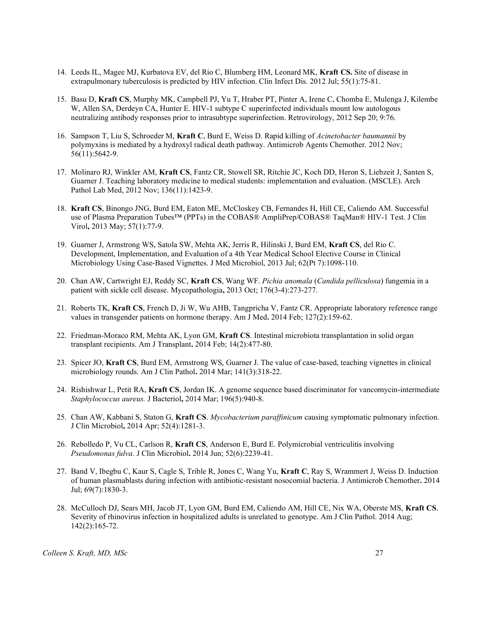- 14. Leeds IL, Magee MJ, Kurbatova EV, del Rio C, Blumberg HM, Leonard MK, Kraft CS. Site of disease in extrapulmonary tuberculosis is predicted by HIV infection. Clin Infect Dis. 2012 Jul; 55(1):75-81.
- 15. Basu D, Kraft CS, Murphy MK, Campbell PJ, Yu T, Hraber PT, Pinter A, Irene C, Chomba E, Mulenga J, Kilembe W, Allen SA, Derdeyn CA, Hunter E. HIV-1 subtype C superinfected individuals mount low autologous neutralizing antibody responses prior to intrasubtype superinfection. Retrovirology, 2012 Sep 20; 9:76.
- 16. Sampson T, Liu S, Schroeder M, Kraft C, Burd E, Weiss D. Rapid killing of Acinetobacter baumannii by polymyxins is mediated by a hydroxyl radical death pathway. Antimicrob Agents Chemother. 2012 Nov; 56(11):5642-9.
- 17. Molinaro RJ, Winkler AM, Kraft CS, Fantz CR, Stowell SR, Ritchie JC, Koch DD, Heron S, Liebzeit J, Santen S, Guarner J. Teaching laboratory medicine to medical students: implementation and evaluation. (MSCLE). Arch Pathol Lab Med, 2012 Nov; 136(11):1423-9.
- 18. Kraft CS, Binongo JNG, Burd EM, Eaton ME, McCloskey CB, Fernandes H, Hill CE, Caliendo AM. Successful use of Plasma Preparation Tubes™ (PPTs) in the COBAS® AmpliPrep/COBAS® TaqMan® HIV-1 Test. J Clin Virol, 2013 May; 57(1):77-9.
- 19. Guarner J, Armstrong WS, Satola SW, Mehta AK, Jerris R, Hilinski J, Burd EM, Kraft CS, del Rio C. Development, Implementation, and Evaluation of a 4th Year Medical School Elective Course in Clinical Microbiology Using Case-Based Vignettes. J Med Microbiol, 2013 Jul; 62(Pt 7):1098-110.
- 20. Chan AW, Cartwright EJ, Reddy SC, Kraft CS, Wang WF. Pichia anomala (Candida pelliculosa) fungemia in a patient with sickle cell disease. Mycopathologia, 2013 Oct; 176(3-4):273-277.
- 21. Roberts TK, Kraft CS, French D, Ji W, Wu AHB, Tangpricha V, Fantz CR. Appropriate laboratory reference range values in transgender patients on hormone therapy. Am J Med. 2014 Feb; 127(2):159-62.
- 22. Friedman-Moraco RM, Mehta AK, Lyon GM, Kraft CS. Intestinal microbiota transplantation in solid organ transplant recipients. Am J Transplant. 2014 Feb; 14(2):477-80.
- 23. Spicer JO, Kraft CS, Burd EM, Armstrong WS, Guarner J. The value of case-based, teaching vignettes in clinical microbiology rounds. Am J Clin Pathol. 2014 Mar; 141(3):318-22.
- 24. Rishishwar L, Petit RA, Kraft CS, Jordan IK. A genome sequence based discriminator for vancomycin-intermediate Staphylococcus aureus. J Bacteriol, 2014 Mar; 196(5):940-8.
- 25. Chan AW, Kabbani S, Staton G, Kraft CS. Mycobacterium paraffinicum causing symptomatic pulmonary infection. J Clin Microbiol, 2014 Apr; 52(4):1281-3.
- 26. Rebolledo P, Vu CL, Carlson R, Kraft CS, Anderson E, Burd E. Polymicrobial ventriculitis involving Pseudomonas fulva. J Clin Microbiol. 2014 Jun; 52(6):2239-41.
- 27. Band V, Ibegbu C, Kaur S, Cagle S, Trible R, Jones C, Wang Yu, Kraft C, Ray S, Wrammert J, Weiss D. Induction of human plasmablasts during infection with antibiotic-resistant nosocomial bacteria. J Antimicrob Chemother. 2014 Jul; 69(7):1830-3.
- 28. McCulloch DJ, Sears MH, Jacob JT, Lyon GM, Burd EM, Caliendo AM, Hill CE, Nix WA, Oberste MS, Kraft CS. Severity of rhinovirus infection in hospitalized adults is unrelated to genotype. Am J Clin Pathol. 2014 Aug; 142(2):165-72.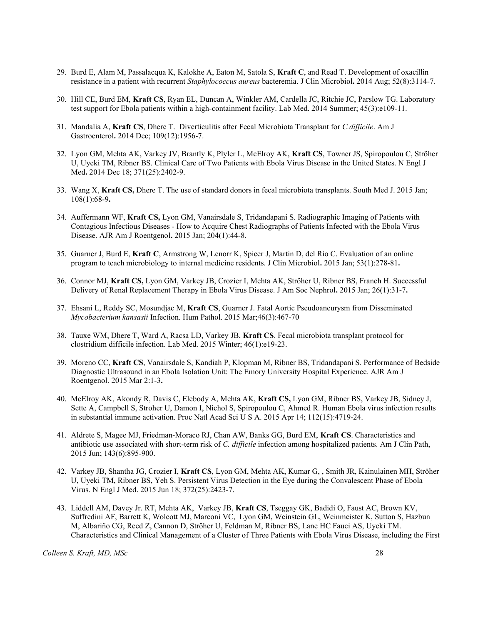- 29. Burd E, Alam M, Passalacqua K, Kalokhe A, Eaton M, Satola S, Kraft C, and Read T. Development of oxacillin resistance in a patient with recurrent Staphylococcus aureus bacteremia. J Clin Microbiol. 2014 Aug; 52(8):3114-7.
- 30. Hill CE, Burd EM, Kraft CS, Ryan EL, Duncan A, Winkler AM, Cardella JC, Ritchie JC, Parslow TG. Laboratory test support for Ebola patients within a high-containment facility. Lab Med. 2014 Summer; 45(3):e109-11.
- 31. Mandalia A, Kraft CS, Dhere T. Diverticulitis after Fecal Microbiota Transplant for C.difficile. Am J Gastroenterol. 2014 Dec; 109(12):1956-7.
- 32. Lyon GM, Mehta AK, Varkey JV, Brantly K, Plyler L, McElroy AK, Kraft CS, Towner JS, Spiropoulou C, Ströher U, Uyeki TM, Ribner BS. Clinical Care of Two Patients with Ebola Virus Disease in the United States. N Engl J Med. 2014 Dec 18; 371(25):2402-9.
- 33. Wang X, Kraft CS, Dhere T. The use of standard donors in fecal microbiota transplants. South Med J. 2015 Jan; 108(1):68-9.
- 34. Auffermann WF, Kraft CS, Lyon GM, Vanairsdale S, Tridandapani S. Radiographic Imaging of Patients with Contagious Infectious Diseases - How to Acquire Chest Radiographs of Patients Infected with the Ebola Virus Disease. AJR Am J Roentgenol. 2015 Jan; 204(1):44-8.
- 35. Guarner J, Burd E, Kraft C, Armstrong W, Lenorr K, Spicer J, Martin D, del Rio C. Evaluation of an online program to teach microbiology to internal medicine residents. J Clin Microbiol. 2015 Jan; 53(1):278-81.
- 36. Connor MJ, Kraft CS, Lyon GM, Varkey JB, Crozier I, Mehta AK, Ströher U, Ribner BS, Franch H. Successful Delivery of Renal Replacement Therapy in Ebola Virus Disease. J Am Soc Nephrol. 2015 Jan; 26(1):31-7.
- 37. Ehsani L, Reddy SC, Mosundjac M, Kraft CS, Guarner J. Fatal Aortic Pseudoaneurysm from Disseminated Mycobacterium kansasii Infection. Hum Pathol. 2015 Mar;46(3):467-70
- 38. Tauxe WM, Dhere T, Ward A, Racsa LD, Varkey JB, Kraft CS. Fecal microbiota transplant protocol for clostridium difficile infection. Lab Med. 2015 Winter; 46(1):e19-23.
- 39. Moreno CC, Kraft CS, Vanairsdale S, Kandiah P, Klopman M, Ribner BS, Tridandapani S. Performance of Bedside Diagnostic Ultrasound in an Ebola Isolation Unit: The Emory University Hospital Experience. AJR Am J Roentgenol. 2015 Mar 2:1-3.
- 40. McElroy AK, Akondy R, Davis C, Elebody A, Mehta AK, Kraft CS, Lyon GM, Ribner BS, Varkey JB, Sidney J, Sette A, Campbell S, Stroher U, Damon I, Nichol S, Spiropoulou C, Ahmed R. Human Ebola virus infection results in substantial immune activation. Proc Natl Acad Sci U S A. 2015 Apr 14; 112(15):4719-24.
- 41. Aldrete S, Magee MJ, Friedman-Moraco RJ, Chan AW, Banks GG, Burd EM, Kraft CS. Characteristics and antibiotic use associated with short-term risk of C. difficile infection among hospitalized patients. Am J Clin Path, 2015 Jun; 143(6):895-900.
- 42. Varkey JB, Shantha JG, Crozier I, Kraft CS, Lyon GM, Mehta AK, Kumar G, , Smith JR, Kainulainen MH, Ströher U, Uyeki TM, Ribner BS, Yeh S. Persistent Virus Detection in the Eye during the Convalescent Phase of Ebola Virus. N Engl J Med. 2015 Jun 18; 372(25):2423-7.
- 43. Liddell AM, Davey Jr. RT, Mehta AK, Varkey JB, Kraft CS, Tseggay GK, Badidi O, Faust AC, Brown KV, Suffredini AF, Barrett K, Wolcott MJ, Marconi VC, Lyon GM, Weinstein GL, Weinmeister K, Sutton S, Hazbun M, Albariño CG, Reed Z, Cannon D, Ströher U, Feldman M, Ribner BS, Lane HC Fauci AS, Uyeki TM. Characteristics and Clinical Management of a Cluster of Three Patients with Ebola Virus Disease, including the First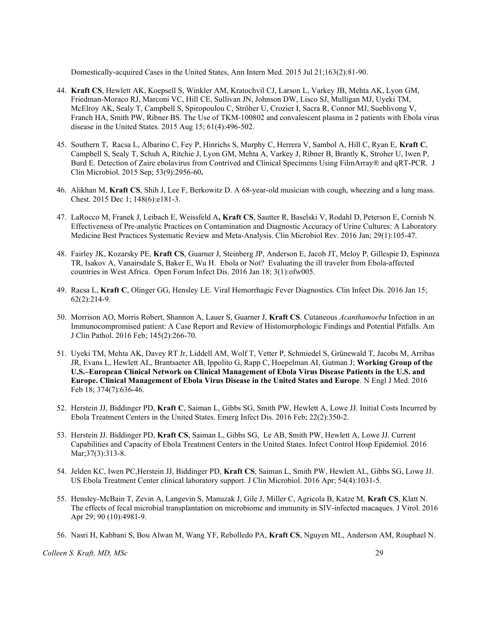Domestically-acquired Cases in the United States, Ann Intern Med. 2015 Jul 21;163(2):81-90.

- 44. Kraft CS, Hewlett AK, Koepsell S, Winkler AM, Kratochvil CJ, Larson L, Varkey JB, Mehta AK, Lyon GM, Friedman-Moraco RJ, Marconi VC, Hill CE, Sullivan JN, Johnson DW, Lisco SJ, Mulligan MJ, Uyeki TM, McElroy AK, Sealy T, Campbell S, Spiropoulou C, Ströher U, Crozier I, Sacra R, Connor MJ, Sueblivong V, Franch HA, Smith PW, Ribner BS. The Use of TKM-100802 and convalescent plasma in 2 patients with Ebola virus disease in the United States. 2015 Aug 15; 61(4):496-502.
- 45. Southern T, Racsa L, Albarino C, Fey P, Hinrichs S, Murphy C, Herrera V, Sambol A, Hill C, Ryan E, Kraft C, Campbell S, Sealy T, Schuh A, Ritchie J, Lyon GM, Mehta A, Varkey J, Ribner B, Brantly K, Stroher U, Iwen P, Burd E. Detection of Zaire ebolavirus from Contrived and Clinical Specimens Using FilmArray® and qRT-PCR. J Clin Microbiol. 2015 Sep; 53(9):2956-60.
- 46. Alikhan M, Kraft CS, Shih J, Lee F, Berkowitz D. A 68-year-old musician with cough, wheezing and a lung mass. Chest. 2015 Dec 1; 148(6):e181-3.
- 47. LaRocco M, Franek J, Leibach E, Weissfeld A, Kraft CS, Sautter R, Baselski V, Rodahl D, Peterson E, Cornish N. Effectiveness of Pre-analytic Practices on Contamination and Diagnostic Accuracy of Urine Cultures: A Laboratory Medicine Best Practices Systematic Review and Meta-Analysis. Clin Microbiol Rev. 2016 Jan; 29(1):105-47.
- 48. Fairley JK, Kozarsky PE, Kraft CS, Guarner J, Steinberg JP, Anderson E, Jacob JT, Meloy P, Gillespie D, Espinoza TR, Isakov A, Vanairsdale S, Baker E, Wu H. Ebola or Not? Evaluating the ill traveler from Ebola-affected countries in West Africa. Open Forum Infect Dis. 2016 Jan 18; 3(1):ofw005.
- 49. Racsa L, Kraft C, Olinger GG, Hensley LE. Viral Hemorrhagic Fever Diagnostics. Clin Infect Dis. 2016 Jan 15; 62(2):214-9.
- 50. Morrison AO, Morris Robert, Shannon A, Lauer S, Guarner J, Kraft CS. Cutaneous Acanthamoeba Infection in an Immunocompromised patient: A Case Report and Review of Histomorphologic Findings and Potential Pitfalls. Am J Clin Pathol. 2016 Feb; 145(2):266-70.
- 51. Uyeki TM, Mehta AK, Davey RT Jr, Liddell AM, Wolf T, Vetter P, Schmiedel S, Grünewald T, Jacobs M, Arribas JR, Evans L, Hewlett AL, Brantsaeter AB, Ippolito G, Rapp C, Hoepelman AI, Gutman J; Working Group of the U.S.–European Clinical Network on Clinical Management of Ebola Virus Disease Patients in the U.S. and Europe. Clinical Management of Ebola Virus Disease in the United States and Europe. N Engl J Med. 2016 Feb 18; 374(7):636-46.
- 52. Herstein JJ, Biddinger PD, Kraft C, Saiman L, Gibbs SG, Smith PW, Hewlett A, Lowe JJ. Initial Costs Incurred by Ebola Treatment Centers in the United States. Emerg Infect Dis. 2016 Feb; 22(2):350-2.
- 53. Herstein JJ. Biddinger PD, Kraft CS, Saiman L, Gibbs SG, Le AB, Smith PW, Hewlett A, Lowe JJ. Current Capabilities and Capacity of Ebola Treatment Centers in the United States. Infect Control Hosp Epidemiol. 2016 Mar; 37(3): 313-8.
- 54. Jelden KC, Iwen PC,Herstein JJ, Biddinger PD, Kraft CS, Saiman L, Smith PW, Hewlett AL, Gibbs SG, Lowe JJ. US Ebola Treatment Center clinical laboratory support. J Clin Microbiol. 2016 Apr; 54(4):1031-5.
- 55. Hensley-McBain T, Zevin A, Langevin S, Manuzak J, Gile J, Miller C, Agricola B, Katze M, Kraft CS, Klatt N. The effects of fecal microbial transplantation on microbiome and immunity in SIV-infected macaques. J Virol. 2016 Apr 29; 90 (10):4981-9.
- 56. Nasri H, Kabbani S, Bou Alwan M, Wang YF, Rebolledo PA, Kraft CS, Nguyen ML, Anderson AM, Rouphael N.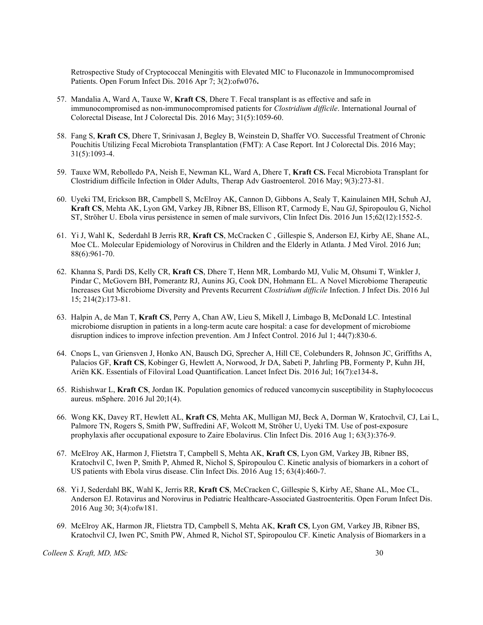Retrospective Study of Cryptococcal Meningitis with Elevated MIC to Fluconazole in Immunocompromised Patients. Open Forum Infect Dis. 2016 Apr 7; 3(2):ofw076.

- 57. Mandalia A, Ward A, Tauxe W, Kraft CS, Dhere T. Fecal transplant is as effective and safe in immunocompromised as non-immunocompromised patients for *Clostridium difficile*. International Journal of Colorectal Disease, Int J Colorectal Dis. 2016 May; 31(5):1059-60.
- 58. Fang S, Kraft CS, Dhere T, Srinivasan J, Begley B, Weinstein D, Shaffer VO. Successful Treatment of Chronic Pouchitis Utilizing Fecal Microbiota Transplantation (FMT): A Case Report. Int J Colorectal Dis. 2016 May; 31(5):1093-4.
- 59. Tauxe WM, Rebolledo PA, Neish E, Newman KL, Ward A, Dhere T, Kraft CS. Fecal Microbiota Transplant for Clostridium difficile Infection in Older Adults, Therap Adv Gastroenterol. 2016 May; 9(3):273-81.
- 60. Uyeki TM, Erickson BR, Campbell S, McElroy AK, Cannon D, Gibbons A, Sealy T, Kainulainen MH, Schuh AJ, Kraft CS, Mehta AK, Lyon GM, Varkey JB, Ribner BS, Ellison RT, Carmody E, Nau GJ, Spiropoulou G, Nichol ST, Ströher U. Ebola virus persistence in semen of male survivors, Clin Infect Dis. 2016 Jun 15;62(12):1552-5.
- 61. Yi J, Wahl K, Sederdahl B Jerris RR, Kraft CS, McCracken C , Gillespie S, Anderson EJ, Kirby AE, Shane AL, Moe CL. Molecular Epidemiology of Norovirus in Children and the Elderly in Atlanta. J Med Virol. 2016 Jun; 88(6):961-70.
- 62. Khanna S, Pardi DS, Kelly CR, Kraft CS, Dhere T, Henn MR, Lombardo MJ, Vulic M, Ohsumi T, Winkler J, Pindar C, McGovern BH, Pomerantz RJ, Aunins JG, Cook DN, Hohmann EL. A Novel Microbiome Therapeutic Increases Gut Microbiome Diversity and Prevents Recurrent Clostridium difficile Infection. J Infect Dis. 2016 Jul 15; 214(2):173-81.
- 63. Halpin A, de Man T, Kraft CS, Perry A, Chan AW, Lieu S, Mikell J, Limbago B, McDonald LC. Intestinal microbiome disruption in patients in a long-term acute care hospital: a case for development of microbiome disruption indices to improve infection prevention. Am J Infect Control. 2016 Jul 1; 44(7):830-6.
- 64. Cnops L, van Griensven J, Honko AN, Bausch DG, Sprecher A, Hill CE, Colebunders R, Johnson JC, Griffiths A, Palacios GF, Kraft CS, Kobinger G, Hewlett A, Norwood, Jr DA, Sabeti P, Jahrling PB, Formenty P, Kuhn JH, Ariën KK. Essentials of Filoviral Load Quantification. Lancet Infect Dis. 2016 Jul; 16(7):e134-8.
- 65. Rishishwar L, Kraft CS, Jordan IK. Population genomics of reduced vancomycin susceptibility in Staphylococcus aureus. mSphere. 2016 Jul 20;1(4).
- 66. Wong KK, Davey RT, Hewlett AL, Kraft CS, Mehta AK, Mulligan MJ, Beck A, Dorman W, Kratochvil, CJ, Lai L, Palmore TN, Rogers S, Smith PW, Suffredini AF, Wolcott M, Ströher U, Uyeki TM. Use of post-exposure prophylaxis after occupational exposure to Zaire Ebolavirus. Clin Infect Dis. 2016 Aug 1; 63(3):376-9.
- 67. McElroy AK, Harmon J, Flietstra T, Campbell S, Mehta AK, Kraft CS, Lyon GM, Varkey JB, Ribner BS, Kratochvil C, Iwen P, Smith P, Ahmed R, Nichol S, Spiropoulou C. Kinetic analysis of biomarkers in a cohort of US patients with Ebola virus disease. Clin Infect Dis. 2016 Aug 15; 63(4):460-7.
- 68. Yi J, Sederdahl BK, Wahl K, Jerris RR, Kraft CS, McCracken C, Gillespie S, Kirby AE, Shane AL, Moe CL, Anderson EJ. Rotavirus and Norovirus in Pediatric Healthcare-Associated Gastroenteritis. Open Forum Infect Dis. 2016 Aug 30; 3(4):ofw181.
- 69. McElroy AK, Harmon JR, Flietstra TD, Campbell S, Mehta AK, Kraft CS, Lyon GM, Varkey JB, Ribner BS, Kratochvil CJ, Iwen PC, Smith PW, Ahmed R, Nichol ST, Spiropoulou CF. Kinetic Analysis of Biomarkers in a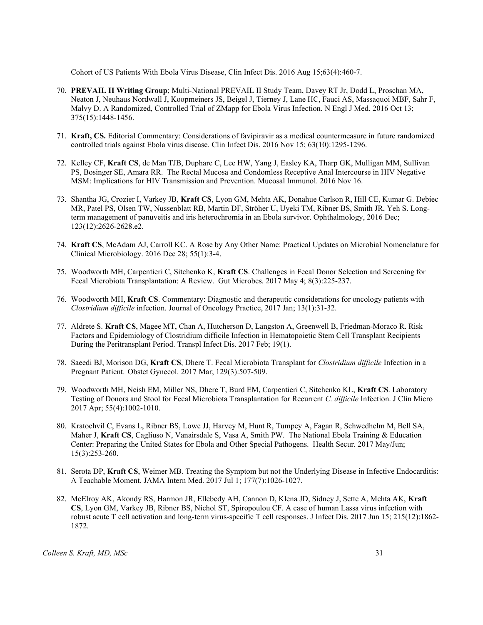Cohort of US Patients With Ebola Virus Disease, Clin Infect Dis. 2016 Aug 15;63(4):460-7.

- 70. PREVAIL II Writing Group; Multi-National PREVAIL II Study Team, Davey RT Jr, Dodd L, Proschan MA, Neaton J, Neuhaus Nordwall J, Koopmeiners JS, Beigel J, Tierney J, Lane HC, Fauci AS, Massaquoi MBF, Sahr F, Malvy D. A Randomized, Controlled Trial of ZMapp for Ebola Virus Infection. N Engl J Med. 2016 Oct 13; 375(15):1448-1456.
- 71. Kraft, CS. Editorial Commentary: Considerations of favipiravir as a medical countermeasure in future randomized controlled trials against Ebola virus disease. Clin Infect Dis. 2016 Nov 15; 63(10):1295-1296.
- 72. Kelley CF, Kraft CS, de Man TJB, Duphare C, Lee HW, Yang J, Easley KA, Tharp GK, Mulligan MM, Sullivan PS, Bosinger SE, Amara RR. The Rectal Mucosa and Condomless Receptive Anal Intercourse in HIV Negative MSM: Implications for HIV Transmission and Prevention. Mucosal Immunol. 2016 Nov 16.
- 73. Shantha JG, Crozier I, Varkey JB, Kraft CS, Lyon GM, Mehta AK, Donahue Carlson R, Hill CE, Kumar G. Debiec MR, Patel PS, Olsen TW, Nussenblatt RB, Martin DF, Ströher U, Uyeki TM, Ribner BS, Smith JR, Yeh S. Longterm management of panuveitis and iris heterochromia in an Ebola survivor. Ophthalmology, 2016 Dec; 123(12):2626-2628.e2.
- 74. Kraft CS, McAdam AJ, Carroll KC. A Rose by Any Other Name: Practical Updates on Microbial Nomenclature for Clinical Microbiology. 2016 Dec 28; 55(1):3-4.
- 75. Woodworth MH, Carpentieri C, Sitchenko K, Kraft CS. Challenges in Fecal Donor Selection and Screening for Fecal Microbiota Transplantation: A Review. Gut Microbes. 2017 May 4; 8(3):225-237.
- 76. Woodworth MH, Kraft CS. Commentary: Diagnostic and therapeutic considerations for oncology patients with Clostridium difficile infection. Journal of Oncology Practice, 2017 Jan; 13(1):31-32.
- 77. Aldrete S. Kraft CS, Magee MT, Chan A, Hutcherson D, Langston A, Greenwell B, Friedman-Moraco R. Risk Factors and Epidemiology of Clostridium difficile Infection in Hematopoietic Stem Cell Transplant Recipients During the Peritransplant Period. Transpl Infect Dis. 2017 Feb; 19(1).
- 78. Saeedi BJ, Morison DG, Kraft CS, Dhere T. Fecal Microbiota Transplant for Clostridium difficile Infection in a Pregnant Patient. Obstet Gynecol. 2017 Mar; 129(3):507-509.
- 79. Woodworth MH, Neish EM, Miller NS, Dhere T, Burd EM, Carpentieri C, Sitchenko KL, Kraft CS. Laboratory Testing of Donors and Stool for Fecal Microbiota Transplantation for Recurrent C. difficile Infection. J Clin Micro 2017 Apr; 55(4):1002-1010.
- 80. Kratochvil C, Evans L, Ribner BS, Lowe JJ, Harvey M, Hunt R, Tumpey A, Fagan R, Schwedhelm M, Bell SA, Maher J, Kraft CS, Cagliuso N, Vanairsdale S, Vasa A, Smith PW. The National Ebola Training & Education Center: Preparing the United States for Ebola and Other Special Pathogens. Health Secur. 2017 May/Jun; 15(3):253-260.
- 81. Serota DP, Kraft CS, Weimer MB. Treating the Symptom but not the Underlying Disease in Infective Endocarditis: A Teachable Moment. JAMA Intern Med. 2017 Jul 1; 177(7):1026-1027.
- 82. McElroy AK, Akondy RS, Harmon JR, Ellebedy AH, Cannon D, Klena JD, Sidney J, Sette A, Mehta AK, Kraft CS, Lyon GM, Varkey JB, Ribner BS, Nichol ST, Spiropoulou CF. A case of human Lassa virus infection with robust acute T cell activation and long-term virus-specific T cell responses. J Infect Dis. 2017 Jun 15; 215(12):1862- 1872.

 $\textit{Collection S. Kraft, MD, MSC}$  31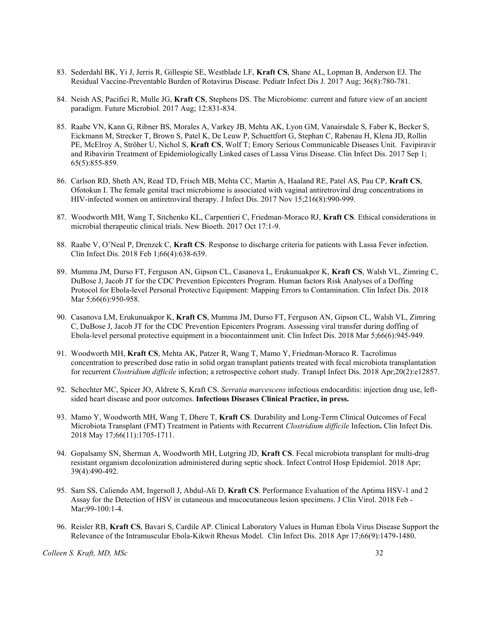- 83. Sederdahl BK, Yi J, Jerris R, Gillespie SE, Westblade LF, Kraft CS, Shane AL, Lopman B, Anderson EJ. The Residual Vaccine-Preventable Burden of Rotavirus Disease. Pediatr Infect Dis J. 2017 Aug; 36(8):780-781.
- 84. Neish AS, Pacifici R, Mulle JG, Kraft CS, Stephens DS. The Microbiome: current and future view of an ancient paradigm. Future Microbiol. 2017 Aug; 12:831-834.
- 85. Raabe VN, Kann G, Ribner BS, Morales A, Varkey JB, Mehta AK, Lyon GM, Vanairsdale S, Faber K, Becker S, Eickmann M, Strecker T, Brown S, Patel K, De Leuw P, Schuettfort G, Stephan C, Rabenau H, Klena JD, Rollin PE, McElroy A, Ströher U, Nichol S, Kraft CS, Wolf T; Emory Serious Communicable Diseases Unit. Favipiravir and Ribavirin Treatment of Epidemiologically Linked cases of Lassa Virus Disease. Clin Infect Dis. 2017 Sep 1; 65(5):855-859.
- 86. Carlson RD, Sheth AN, Read TD, Frisch MB, Mehta CC, Martin A, Haaland RE, Patel AS, Pau CP, Kraft CS, Ofotokun I. The female genital tract microbiome is associated with vaginal antiretroviral drug concentrations in HIV-infected women on antiretroviral therapy. J Infect Dis. 2017 Nov 15;216(8):990-999.
- 87. Woodworth MH, Wang T, Sitchenko KL, Carpentieri C, Friedman-Moraco RJ, Kraft CS. Ethical considerations in microbial therapeutic clinical trials. New Bioeth. 2017 Oct 17:1-9.
- 88. Raabe V, O'Neal P, Drenzek C, Kraft CS. Response to discharge criteria for patients with Lassa Fever infection. Clin Infect Dis. 2018 Feb 1;66(4):638-639.
- 89. Mumma JM, Durso FT, Ferguson AN, Gipson CL, Casanova L, Erukunuakpor K, Kraft CS, Walsh VL, Zimring C, DuBose J, Jacob JT for the CDC Prevention Epicenters Program. Human factors Risk Analyses of a Doffing Protocol for Ebola-level Personal Protective Equipment: Mapping Errors to Contamination. Clin Infect Dis. 2018 Mar 5;66(6):950-958.
- 90. Casanova LM, Erukunuakpor K, Kraft CS, Mumma JM, Durso FT, Ferguson AN, Gipson CL, Walsh VL, Zimring C, DuBose J, Jacob JT for the CDC Prevention Epicenters Program. Assessing viral transfer during doffing of Ebola-level personal protective equipment in a biocontainment unit. Clin Infect Dis. 2018 Mar 5;66(6):945-949.
- 91. Woodworth MH, Kraft CS, Mehta AK, Patzer R, Wang T, Mamo Y, Friedman-Moraco R. Tacrolimus concentration to prescribed dose ratio in solid organ transplant patients treated with fecal microbiota transplantation for recurrent Clostridium difficile infection; a retrospective cohort study. Transpl Infect Dis. 2018 Apr;20(2):e12857.
- 92. Schechter MC, Spicer JO, Aldrete S, Kraft CS. Serratia marcescens infectious endocarditis: injection drug use, leftsided heart disease and poor outcomes. Infectious Diseases Clinical Practice, in press.
- 93. Mamo Y, Woodworth MH, Wang T, Dhere T, Kraft CS. Durability and Long-Term Clinical Outcomes of Fecal Microbiota Transplant (FMT) Treatment in Patients with Recurrent Clostridium difficile Infection. Clin Infect Dis. 2018 May 17;66(11):1705-1711.
- 94. Gopalsamy SN, Sherman A, Woodworth MH, Lutgring JD, Kraft CS. Fecal microbiota transplant for multi-drug resistant organism decolonization administered during septic shock. Infect Control Hosp Epidemiol. 2018 Apr; 39(4):490-492.
- 95. Sam SS, Caliendo AM, Ingersoll J, Abdul-Ali D, Kraft CS. Performance Evaluation of the Aptima HSV-1 and 2 Assay for the Detection of HSV in cutaneous and mucocutaneous lesion specimens. J Clin Virol. 2018 Feb - Mar;99-100:1-4.
- 96. Reisler RB, Kraft CS, Bavari S, Cardile AP. Clinical Laboratory Values in Human Ebola Virus Disease Support the Relevance of the Intramuscular Ebola-Kikwit Rhesus Model. Clin Infect Dis. 2018 Apr 17;66(9):1479-1480.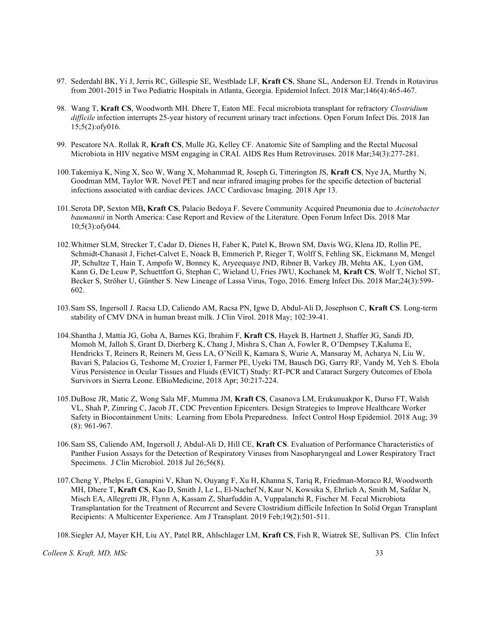- 97. Sederdahl BK, Yi J, Jerris RC, Gillespie SE, Westblade LF, Kraft CS, Shane SL, Anderson EJ. Trends in Rotavirus from 2001-2015 in Two Pediatric Hospitals in Atlanta, Georgia. Epidemiol Infect. 2018 Mar;146(4):465-467.
- 98. Wang T, Kraft CS, Woodworth MH. Dhere T, Eaton ME. Fecal microbiota transplant for refractory Clostridium difficile infection interrupts 25-year history of recurrent urinary tract infections. Open Forum Infect Dis. 2018 Jan 15;5(2):ofy016.
- 99. Pescatore NA. Rollak R, Kraft CS, Mulle JG, Kelley CF. Anatomic Site of Sampling and the Rectal Mucosal Microbiota in HIV negative MSM engaging in CRAI. AIDS Res Hum Retroviruses. 2018 Mar;34(3):277-281.
- 100.Takemiya K, Ning X, Seo W, Wang X, Mohammad R, Joseph G, Titterington JS, Kraft CS, Nye JA, Murthy N, Goodman MM, Taylor WR. Novel PET and near infrared imaging probes for the specific detection of bacterial infections associated with cardiac devices. JACC Cardiovasc Imaging. 2018 Apr 13.
- 101. Serota DP, Sexton MB, Kraft CS, Palacio Bedoya F. Severe Community Acquired Pneumonia due to Acinetobacter baumannii in North America: Case Report and Review of the Literature. Open Forum Infect Dis. 2018 Mar 10;5(3):ofy044.
- 102.Whitmer SLM, Strecker T, Cadar D, Dienes H, Faber K, Patel K, Brown SM, Davis WG, Klena JD, Rollin PE, Schmidt-Chanasit J, Fichet-Calvet E, Noack B, Emmerich P, Rieger T, Wolff S, Fehling SK, Eickmann M, Mengel JP, Schultze T, Hain T, Ampofo W, Bonney K, Aryeequaye JND, Ribner B, Varkey JB, Mehta AK, Lyon GM, Kann G, De Leuw P, Schuettfort G, Stephan C, Wieland U, Fries JWU, Kochanek M, Kraft CS, Wolf T, Nichol ST, Becker S, Ströher U, Günther S. New Lineage of Lassa Virus, Togo, 2016. Emerg Infect Dis. 2018 Mar;24(3):599- 602.
- 103.Sam SS, Ingersoll J. Racsa LD, Caliendo AM, Racsa PN, Igwe D, Abdul-Ali D, Josephson C, Kraft CS. Long-term stability of CMV DNA in human breast milk. J Clin Virol. 2018 May; 102:39-41.
- 104.Shantha J, Mattia JG, Goba A, Barnes KG, Ibrahim F, Kraft CS, Hayek B, Hartnett J, Shaffer JG, Sandi JD, Momoh M, Jalloh S, Grant D, Dierberg K, Chang J, Mishra S, Chan A, Fowler R, O'Dempsey T,Kaluma E, Hendricks T, Reiners R, Reiners M, Gess LA, O'Neill K, Kamara S, Wurie A, Mansaray M, Acharya N, Liu W, Bavari S, Palacios G, Teshome M, Crozier I, Farmer PE, Uyeki TM, Bausch DG, Garry RF, Vandy M, Yeh S. Ebola Virus Persistence in Ocular Tissues and Fluids (EVICT) Study: RT-PCR and Cataract Surgery Outcomes of Ebola Survivors in Sierra Leone. EBioMedicine, 2018 Apr; 30:217-224.
- 105.DuBose JR, Matic Z, Wong Sala MF, Mumma JM, Kraft CS, Casanova LM, Erukunuakpor K, Durso FT, Walsh VL, Shah P, Zimring C, Jacob JT, CDC Prevention Epicenters. Design Strategies to Improve Healthcare Worker Safety in Biocontainment Units: Learning from Ebola Preparedness. Infect Control Hosp Epidemiol. 2018 Aug; 39 (8): 961-967.
- 106.Sam SS, Caliendo AM, Ingersoll J, Abdul-Ali D, Hill CE, Kraft CS. Evaluation of Performance Characteristics of Panther Fusion Assays for the Detection of Respiratory Viruses from Nasopharyngeal and Lower Respiratory Tract Specimens. J Clin Microbiol. 2018 Jul 26;56(8).
- 107.Cheng Y, Phelps E, Ganapini V, Khan N, Ouyang F, Xu H, Khanna S, Tariq R, Friedman-Moraco RJ, Woodworth MH, Dhere T, Kraft CS, Kao D, Smith J, Le L, El-Nachef N, Kaur N, Kowsika S, Ehrlich A, Smith M, Safdar N, Misch EA, Allegretti JR, Flynn A, Kassam Z, Sharfuddin A, Vuppalanchi R, Fischer M. Fecal Microbiota Transplantation for the Treatment of Recurrent and Severe Clostridium difficile Infection In Solid Organ Transplant Recipients: A Multicenter Experience. Am J Transplant. 2019 Feb;19(2):501-511.

108.Siegler AJ, Mayer KH, Liu AY, Patel RR, Ahlschlager LM, Kraft CS, Fish R, Wiatrek SE, Sullivan PS. Clin Infect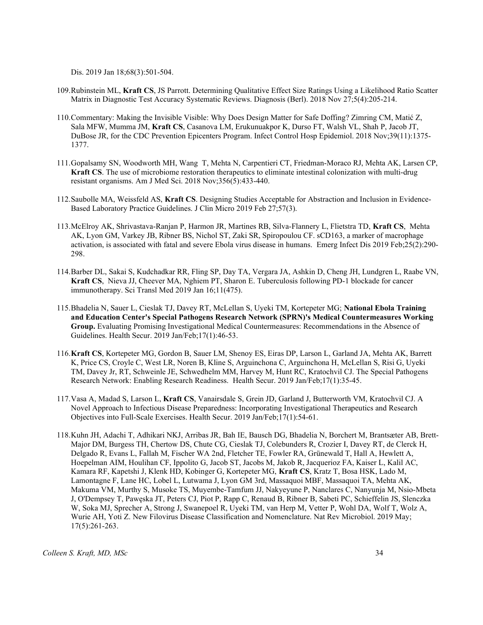Dis. 2019 Jan 18;68(3):501-504.

- 109.Rubinstein ML, Kraft CS, JS Parrott. Determining Qualitative Effect Size Ratings Using a Likelihood Ratio Scatter Matrix in Diagnostic Test Accuracy Systematic Reviews. Diagnosis (Berl). 2018 Nov 27;5(4):205-214.
- 110.Commentary: Making the Invisible Visible: Why Does Design Matter for Safe Doffing? Zimring CM, Matić Z, Sala MFW, Mumma JM, Kraft CS, Casanova LM, Erukunuakpor K, Durso FT, Walsh VL, Shah P, Jacob JT, DuBose JR, for the CDC Prevention Epicenters Program. Infect Control Hosp Epidemiol. 2018 Nov;39(11):1375- 1377.
- 111.Gopalsamy SN, Woodworth MH, Wang T, Mehta N, Carpentieri CT, Friedman-Moraco RJ, Mehta AK, Larsen CP, Kraft CS. The use of microbiome restoration therapeutics to eliminate intestinal colonization with multi-drug resistant organisms. Am J Med Sci. 2018 Nov;356(5):433-440.
- 112.Saubolle MA, Weissfeld AS, Kraft CS. Designing Studies Acceptable for Abstraction and Inclusion in Evidence-Based Laboratory Practice Guidelines. J Clin Micro 2019 Feb 27;57(3).
- 113.McElroy AK, Shrivastava-Ranjan P, Harmon JR, Martines RB, Silva-Flannery L, Flietstra TD, Kraft CS, Mehta AK, Lyon GM, Varkey JB, Ribner BS, Nichol ST, Zaki SR, Spiropoulou CF. sCD163, a marker of macrophage activation, is associated with fatal and severe Ebola virus disease in humans. Emerg Infect Dis 2019 Feb;25(2):290- 298.
- 114.Barber DL, Sakai S, Kudchadkar RR, Fling SP, Day TA, Vergara JA, Ashkin D, Cheng JH, Lundgren L, Raabe VN, Kraft CS, Nieva JJ, Cheever MA, Nghiem PT, Sharon E. Tuberculosis following PD-1 blockade for cancer immunotherapy. Sci Transl Med 2019 Jan 16;11(475).
- 115.Bhadelia N, Sauer L, Cieslak TJ, Davey RT, McLellan S, Uyeki TM, Kortepeter MG; National Ebola Training and Education Center's Special Pathogens Research Network (SPRN)'s Medical Countermeasures Working Group. Evaluating Promising Investigational Medical Countermeasures: Recommendations in the Absence of Guidelines. Health Secur. 2019 Jan/Feb;17(1):46-53.
- 116.Kraft CS, Kortepeter MG, Gordon B, Sauer LM, Shenoy ES, Eiras DP, Larson L, Garland JA, Mehta AK, Barrett K, Price CS, Croyle C, West LR, Noren B, Kline S, Arguinchona C, Arguinchona H, McLellan S, Risi G, Uyeki TM, Davey Jr, RT, Schweinle JE, Schwedhelm MM, Harvey M, Hunt RC, Kratochvil CJ. The Special Pathogens Research Network: Enabling Research Readiness. Health Secur. 2019 Jan/Feb;17(1):35-45.
- 117.Vasa A, Madad S, Larson L, Kraft CS, Vanairsdale S, Grein JD, Garland J, Butterworth VM, Kratochvil CJ. A Novel Approach to Infectious Disease Preparedness: Incorporating Investigational Therapeutics and Research Objectives into Full-Scale Exercises. Health Secur. 2019 Jan/Feb;17(1):54-61.
- 118.Kuhn JH, Adachi T, Adhikari NKJ, Arribas JR, Bah IE, Bausch DG, Bhadelia N, Borchert M, Brantsæter AB, Brett-Major DM, Burgess TH, Chertow DS, Chute CG, Cieslak TJ, Colebunders R, Crozier I, Davey RT, de Clerck H, Delgado R, Evans L, Fallah M, Fischer WA 2nd, Fletcher TE, Fowler RA, Grünewald T, Hall A, Hewlett A, Hoepelman AIM, Houlihan CF, Ippolito G, Jacob ST, Jacobs M, Jakob R, Jacquerioz FA, Kaiser L, Kalil AC, Kamara RF, Kapetshi J, Klenk HD, Kobinger G, Kortepeter MG, Kraft CS, Kratz T, Bosa HSK, Lado M, Lamontagne F, Lane HC, Lobel L, Lutwama J, Lyon GM 3rd, Massaquoi MBF, Massaquoi TA, Mehta AK, Makuma VM, Murthy S, Musoke TS, Muyembe-Tamfum JJ, Nakyeyune P, Nanclares C, Nanyunja M, Nsio-Mbeta J, O'Dempsey T, Pawęska JT, Peters CJ, Piot P, Rapp C, Renaud B, Ribner B, Sabeti PC, Schieffelin JS, Slenczka W, Soka MJ, Sprecher A, Strong J, Swanepoel R, Uyeki TM, van Herp M, Vetter P, Wohl DA, Wolf T, Wolz A, Wurie AH, Yoti Z. New Filovirus Disease Classification and Nomenclature. Nat Rev Microbiol. 2019 May; 17(5):261-263.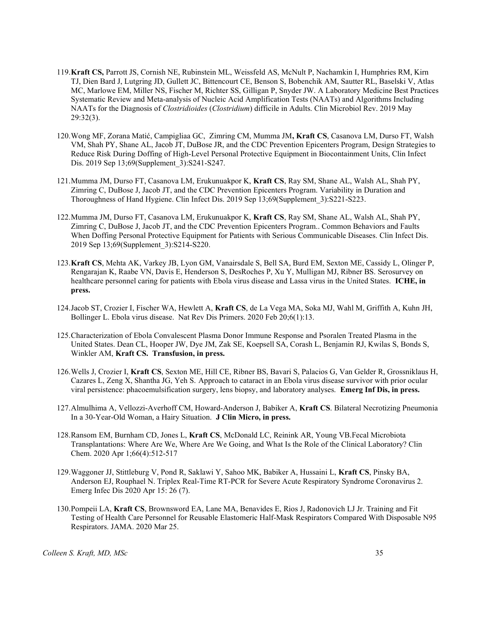- 119.Kraft CS, Parrott JS, Cornish NE, Rubinstein ML, Weissfeld AS, McNult P, Nachamkin I, Humphries RM, Kirn TJ, Dien Bard J, Lutgring JD, Gullett JC, Bittencourt CE, Benson S, Bobenchik AM, Sautter RL, Baselski V, Atlas MC, Marlowe EM, Miller NS, Fischer M, Richter SS, Gilligan P, Snyder JW. A Laboratory Medicine Best Practices Systematic Review and Meta-analysis of Nucleic Acid Amplification Tests (NAATs) and Algorithms Including NAATs for the Diagnosis of Clostridioides (Clostridium) difficile in Adults. Clin Microbiol Rev. 2019 May 29:32(3).
- 120.Wong MF, Zorana Matić, Campigliaa GC, Zimring CM, Mumma JM, Kraft CS, Casanova LM, Durso FT, Walsh VM, Shah PY, Shane AL, Jacob JT, DuBose JR, and the CDC Prevention Epicenters Program, Design Strategies to Reduce Risk During Doffing of High-Level Personal Protective Equipment in Biocontainment Units, Clin Infect Dis. 2019 Sep 13;69(Supplement 3):S241-S247.
- 121.Mumma JM, Durso FT, Casanova LM, Erukunuakpor K, Kraft CS, Ray SM, Shane AL, Walsh AL, Shah PY, Zimring C, DuBose J, Jacob JT, and the CDC Prevention Epicenters Program. Variability in Duration and Thoroughness of Hand Hygiene. Clin Infect Dis. 2019 Sep 13;69(Supplement\_3):S221-S223.
- 122.Mumma JM, Durso FT, Casanova LM, Erukunuakpor K, Kraft CS, Ray SM, Shane AL, Walsh AL, Shah PY, Zimring C, DuBose J, Jacob JT, and the CDC Prevention Epicenters Program.. Common Behaviors and Faults When Doffing Personal Protective Equipment for Patients with Serious Communicable Diseases. Clin Infect Dis. 2019 Sep 13;69(Supplement\_3):S214-S220.
- 123.Kraft CS, Mehta AK, Varkey JB, Lyon GM, Vanairsdale S, Bell SA, Burd EM, Sexton ME, Cassidy L, Olinger P, Rengarajan K, Raabe VN, Davis E, Henderson S, DesRoches P, Xu Y, Mulligan MJ, Ribner BS. Serosurvey on healthcare personnel caring for patients with Ebola virus disease and Lassa virus in the United States. **ICHE**, in press.
- 124.Jacob ST, Crozier I, Fischer WA, Hewlett A, Kraft CS, de La Vega MA, Soka MJ, Wahl M, Griffith A, Kuhn JH, Bollinger L. Ebola virus disease. Nat Rev Dis Primers. 2020 Feb 20;6(1):13.
- 125.Characterization of Ebola Convalescent Plasma Donor Immune Response and Psoralen Treated Plasma in the United States. Dean CL, Hooper JW, Dye JM, Zak SE, Koepsell SA, Corash L, Benjamin RJ, Kwilas S, Bonds S, Winkler AM, Kraft CS. Transfusion, in press.
- 126.Wells J, Crozier I, Kraft CS, Sexton ME, Hill CE, Ribner BS, Bavari S, Palacios G, Van Gelder R, Grossniklaus H, Cazares L, Zeng X, Shantha JG, Yeh S. Approach to cataract in an Ebola virus disease survivor with prior ocular viral persistence: phacoemulsification surgery, lens biopsy, and laboratory analyses. Emerg Inf Dis, in press.
- 127.Almulhima A, Vellozzi-Averhoff CM, Howard-Anderson J, Babiker A, Kraft CS. Bilateral Necrotizing Pneumonia In a 30-Year-Old Woman, a Hairy Situation. J Clin Micro, in press.
- 128.Ransom EM, Burnham CD, Jones L, Kraft CS, McDonald LC, Reinink AR, Young VB.Fecal Microbiota Transplantations: Where Are We, Where Are We Going, and What Is the Role of the Clinical Laboratory? Clin Chem. 2020 Apr 1;66(4):512-517
- 129.Waggoner JJ, Stittleburg V, Pond R, Saklawi Y, Sahoo MK, Babiker A, Hussaini L, Kraft CS, Pinsky BA, Anderson EJ, Rouphael N. Triplex Real-Time RT-PCR for Severe Acute Respiratory Syndrome Coronavirus 2. Emerg Infec Dis 2020 Apr 15: 26 (7).
- 130.Pompeii LA, Kraft CS, Brownsword EA, Lane MA, Benavides E, Rios J, Radonovich LJ Jr. Training and Fit Testing of Health Care Personnel for Reusable Elastomeric Half-Mask Respirators Compared With Disposable N95 Respirators. JAMA. 2020 Mar 25.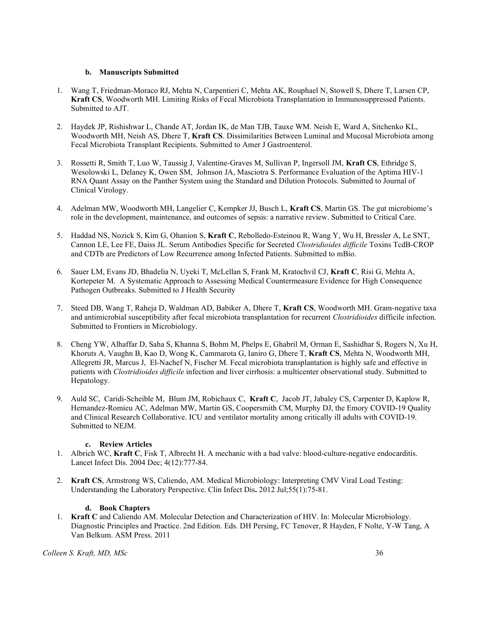# b. Manuscripts Submitted

- 1. Wang T, Friedman-Moraco RJ, Mehta N, Carpentieri C, Mehta AK, Rouphael N, Stowell S, Dhere T, Larsen CP, Kraft CS, Woodworth MH. Limiting Risks of Fecal Microbiota Transplantation in Immunosuppressed Patients. Submitted to AJT.
- 2. Haydek JP, Rishishwar L, Chande AT, Jordan IK, de Man TJB, Tauxe WM. Neish E, Ward A, Sitchenko KL, Woodworth MH, Neish AS, Dhere T, Kraft CS. Dissimilarities Between Luminal and Mucosal Microbiota among Fecal Microbiota Transplant Recipients. Submitted to Amer J Gastroenterol.
- 3. Rossetti R, Smith T, Luo W, Taussig J, Valentine-Graves M, Sullivan P, Ingersoll JM, Kraft CS, Ethridge S, Wesolowski L, Delaney K, Owen SM, Johnson JA, Masciotra S. Performance Evaluation of the Aptima HIV-1 RNA Quant Assay on the Panther System using the Standard and Dilution Protocols. Submitted to Journal of Clinical Virology.
- 4. Adelman MW, Woodworth MH, Langelier C, Kempker JJ, Busch L, Kraft CS, Martin GS. The gut microbiome's role in the development, maintenance, and outcomes of sepsis: a narrative review. Submitted to Critical Care.
- 5. Haddad NS, Nozick S, Kim G, Ohanion S, Kraft C, Rebolledo-Esteinou R, Wang Y, Wu H, Bressler A, Le SNT, Cannon LE, Lee FE, Daiss JL. Serum Antibodies Specific for Secreted Clostridioides difficile Toxins TcdB-CROP and CDTb are Predictors of Low Recurrence among Infected Patients. Submitted to mBio.
- 6. Sauer LM, Evans JD, Bhadelia N, Uyeki T, McLellan S, Frank M, Kratochvil CJ, Kraft C, Risi G, Mehta A, Kortepeter M. A Systematic Approach to Assessing Medical Countermeasure Evidence for High Consequence Pathogen Outbreaks. Submitted to J Health Security
- 7. Steed DB, Wang T, Raheja D, Waldman AD, Babiker A, Dhere T, Kraft CS, Woodworth MH. Gram-negative taxa and antimicrobial susceptibility after fecal microbiota transplantation for recurrent Clostridioides difficile infection. Submitted to Frontiers in Microbiology.
- 8. Cheng YW, Alhaffar D, Saha S, Khanna S, Bohm M, Phelps E, Ghabril M, Orman E, Sashidhar S, Rogers N, Xu H, Khoruts A, Vaughn B, Kao D, Wong K, Cammarota G, Ianiro G, Dhere T, Kraft CS, Mehta N, Woodworth MH, Allegretti JR, Marcus J, El-Nachef N, Fischer M. Fecal microbiota transplantation is highly safe and effective in patients with Clostridioides difficile infection and liver cirrhosis: a multicenter observational study. Submitted to Hepatology.
- 9. Auld SC, Caridi-Scheible M, Blum JM, Robichaux C, Kraft C, Jacob JT, Jabaley CS, Carpenter D, Kaplow R, Hernandez-Romieu AC, Adelman MW, Martin GS, Coopersmith CM, Murphy DJ, the Emory COVID-19 Quality and Clinical Research Collaborative. ICU and ventilator mortality among critically ill adults with COVID-19. Submitted to NEJM.

# c. Review Articles

- 1. Albrich WC, Kraft C, Fisk T, Albrecht H. A mechanic with a bad valve: blood-culture-negative endocarditis. Lancet Infect Dis. 2004 Dec; 4(12):777-84.
- 2. Kraft CS, Armstrong WS, Caliendo, AM. Medical Microbiology: Interpreting CMV Viral Load Testing: Understanding the Laboratory Perspective. Clin Infect Dis. 2012 Jul;55(1):75-81.

# d. Book Chapters

1. Kraft C and Caliendo AM. Molecular Detection and Characterization of HIV. In: Molecular Microbiology. Diagnostic Principles and Practice. 2nd Edition. Eds. DH Persing, FC Tenover, R Hayden, F Nolte, Y-W Tang, A Van Belkum. ASM Press. 2011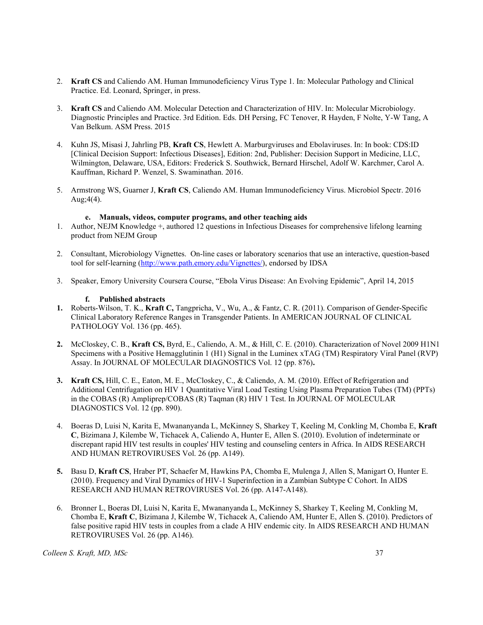- 2. Kraft CS and Caliendo AM. Human Immunodeficiency Virus Type 1. In: Molecular Pathology and Clinical Practice. Ed. Leonard, Springer, in press.
- 3. Kraft CS and Caliendo AM. Molecular Detection and Characterization of HIV. In: Molecular Microbiology. Diagnostic Principles and Practice. 3rd Edition. Eds. DH Persing, FC Tenover, R Hayden, F Nolte, Y-W Tang, A Van Belkum. ASM Press. 2015
- 4. Kuhn JS, Misasi J, Jahrling PB, Kraft CS, Hewlett A. Marburgviruses and Ebolaviruses. In: In book: CDS:ID [Clinical Decision Support: Infectious Diseases], Edition: 2nd, Publisher: Decision Support in Medicine, LLC, Wilmington, Delaware, USA, Editors: Frederick S. Southwick, Bernard Hirschel, Adolf W. Karchmer, Carol A. Kauffman, Richard P. Wenzel, S. Swaminathan. 2016.
- 5. Armstrong WS, Guarner J, Kraft CS, Caliendo AM. Human Immunodeficiency Virus. Microbiol Spectr. 2016 Aug;4(4).

# e. Manuals, videos, computer programs, and other teaching aids

- 1. Author, NEJM Knowledge +, authored 12 questions in Infectious Diseases for comprehensive lifelong learning product from NEJM Group
- 2. Consultant, Microbiology Vignettes. On-line cases or laboratory scenarios that use an interactive, question-based tool for self-learning (http://www.path.emory.edu/Vignettes/), endorsed by IDSA
- 3. Speaker, Emory University Coursera Course, "Ebola Virus Disease: An Evolving Epidemic", April 14, 2015

# f. Published abstracts

- 1. Roberts-Wilson, T. K., Kraft C, Tangpricha, V., Wu, A., & Fantz, C. R. (2011). Comparison of Gender-Specific Clinical Laboratory Reference Ranges in Transgender Patients. In AMERICAN JOURNAL OF CLINICAL PATHOLOGY Vol. 136 (pp. 465).
- 2. McCloskey, C. B., Kraft CS, Byrd, E., Caliendo, A. M., & Hill, C. E. (2010). Characterization of Novel 2009 H1N1 Specimens with a Positive Hemagglutinin 1 (H1) Signal in the Luminex xTAG (TM) Respiratory Viral Panel (RVP) Assay. In JOURNAL OF MOLECULAR DIAGNOSTICS Vol. 12 (pp. 876).
- 3. Kraft CS, Hill, C. E., Eaton, M. E., McCloskey, C., & Caliendo, A. M. (2010). Effect of Refrigeration and Additional Centrifugation on HIV 1 Quantitative Viral Load Testing Using Plasma Preparation Tubes (TM) (PPTs) in the COBAS (R) Ampliprep/COBAS (R) Taqman (R) HIV 1 Test. In JOURNAL OF MOLECULAR DIAGNOSTICS Vol. 12 (pp. 890).
- 4. Boeras D, Luisi N, Karita E, Mwananyanda L, McKinney S, Sharkey T, Keeling M, Conkling M, Chomba E, Kraft C, Bizimana J, Kilembe W, Tichacek A, Caliendo A, Hunter E, Allen S. (2010). Evolution of indeterminate or discrepant rapid HIV test results in couples' HIV testing and counseling centers in Africa. In AIDS RESEARCH AND HUMAN RETROVIRUSES Vol. 26 (pp. A149).
- 5. Basu D, Kraft CS, Hraber PT, Schaefer M, Hawkins PA, Chomba E, Mulenga J, Allen S, Manigart O, Hunter E. (2010). Frequency and Viral Dynamics of HIV-1 Superinfection in a Zambian Subtype C Cohort. In AIDS RESEARCH AND HUMAN RETROVIRUSES Vol. 26 (pp. A147-A148).
- 6. Bronner L, Boeras DI, Luisi N, Karita E, Mwananyanda L, McKinney S, Sharkey T, Keeling M, Conkling M, Chomba E, Kraft C, Bizimana J, Kilembe W, Tichacek A, Caliendo AM, Hunter E, Allen S. (2010). Predictors of false positive rapid HIV tests in couples from a clade A HIV endemic city. In AIDS RESEARCH AND HUMAN RETROVIRUSES Vol. 26 (pp. A146).